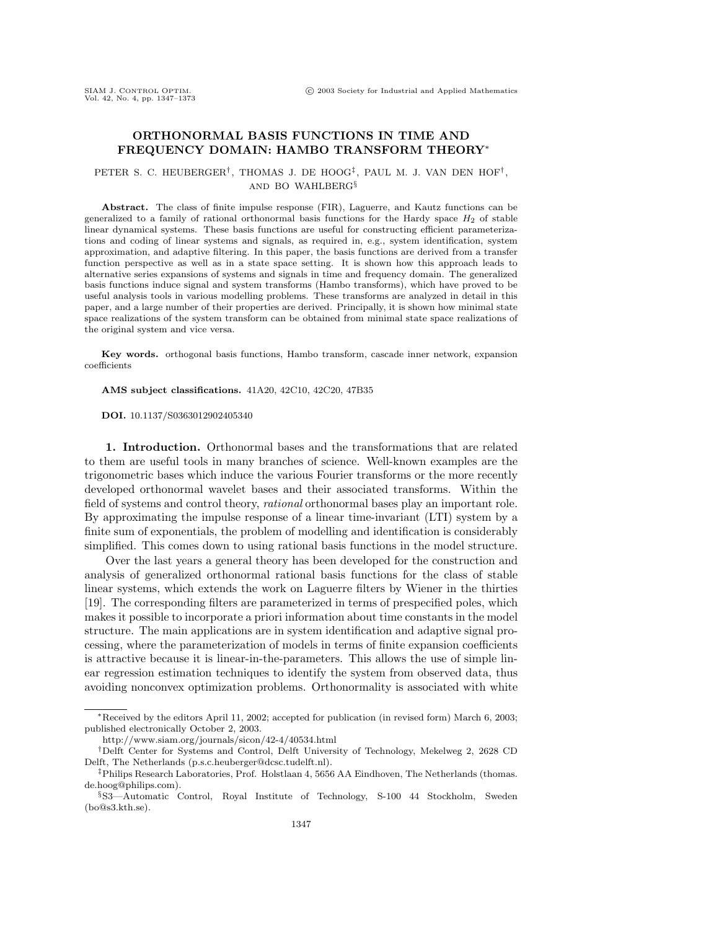## **ORTHONORMAL BASIS FUNCTIONS IN TIME AND FREQUENCY DOMAIN: HAMBO TRANSFORM THEORY**<sup>∗</sup>

## PETER S. C. HEUBERGER†, THOMAS J. DE HOOG‡, PAUL M. J. VAN DEN HOF†, AND BO WAHLBERG§

**Abstract.** The class of finite impulse response (FIR), Laguerre, and Kautz functions can be generalized to a family of rational orthonormal basis functions for the Hardy space  $H_2$  of stable linear dynamical systems. These basis functions are useful for constructing efficient parameterizations and coding of linear systems and signals, as required in, e.g., system identification, system approximation, and adaptive filtering. In this paper, the basis functions are derived from a transfer function perspective as well as in a state space setting. It is shown how this approach leads to alternative series expansions of systems and signals in time and frequency domain. The generalized basis functions induce signal and system transforms (Hambo transforms), which have proved to be useful analysis tools in various modelling problems. These transforms are analyzed in detail in this paper, and a large number of their properties are derived. Principally, it is shown how minimal state space realizations of the system transform can be obtained from minimal state space realizations of the original system and vice versa.

**Key words.** orthogonal basis functions, Hambo transform, cascade inner network, expansion coefficients

**AMS subject classifications.** 41A20, 42C10, 42C20, 47B35

**DOI.** 10.1137/S0363012902405340

**1. Introduction.** Orthonormal bases and the transformations that are related to them are useful tools in many branches of science. Well-known examples are the trigonometric bases which induce the various Fourier transforms or the more recently developed orthonormal wavelet bases and their associated transforms. Within the field of systems and control theory, rational orthonormal bases play an important role. By approximating the impulse response of a linear time-invariant (LTI) system by a finite sum of exponentials, the problem of modelling and identification is considerably simplified. This comes down to using rational basis functions in the model structure.

Over the last years a general theory has been developed for the construction and analysis of generalized orthonormal rational basis functions for the class of stable linear systems, which extends the work on Laguerre filters by Wiener in the thirties [19]. The corresponding filters are parameterized in terms of prespecified poles, which makes it possible to incorporate a priori information about time constants in the model structure. The main applications are in system identification and adaptive signal processing, where the parameterization of models in terms of finite expansion coefficients is attractive because it is linear-in-the-parameters. This allows the use of simple linear regression estimation techniques to identify the system from observed data, thus avoiding nonconvex optimization problems. Orthonormality is associated with white

<sup>∗</sup>Received by the editors April 11, 2002; accepted for publication(inrevised form) March 6, 2003; published electronically October 2, 2003.

http://www.siam.org/journals/sicon/42-4/40534.html

<sup>†</sup>Delft Center for Systems and Control, Delft University of Technology, Mekelweg 2, 2628 CD Delft, The Netherlands (p.s.c.heuberger@dcsc.tudelft.nl).

<sup>‡</sup>Philips Research Laboratories, Prof. Holstlaan 4, 5656 AA Eindhoven, The Netherlands (thomas. de.hoog@philips.com).

<sup>§</sup>S3—Automatic Control, Royal Institute of Technology, S-100 44 Stockholm, Sweden (bo@s3.kth.se).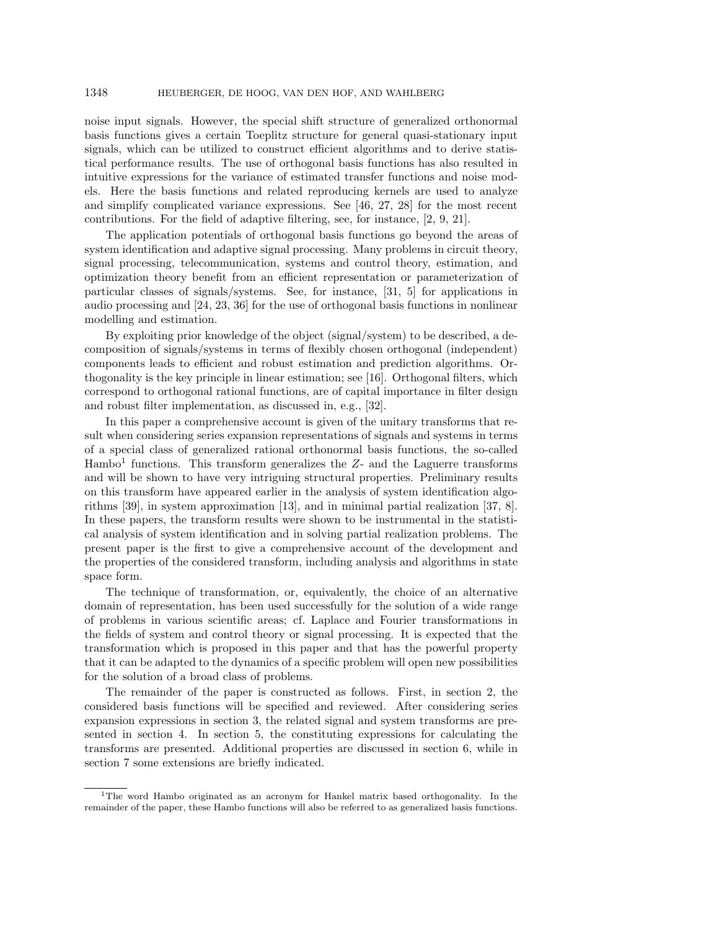noise input signals. However, the special shift structure of generalized orthonormal basis functions gives a certain Toeplitz structure for general quasi-stationary input signals, which can be utilized to construct efficient algorithms and to derive statistical performance results. The use of orthogonal basis functions has also resulted in intuitive expressions for the variance of estimated transfer functions and noise models. Here the basis functions and related reproducing kernels are used to analyze and simplify complicated variance expressions. See [46, 27, 28] for the most recent contributions. For the field of adaptive filtering, see, for instance, [2, 9, 21].

The application potentials of orthogonal basis functions go beyond the areas of system identification and adaptive signal processing. Many problems in circuit theory, signal processing, telecommunication, systems and control theory, estimation, and optimization theory benefit from an efficient representation or parameterization of particular classes of signals/systems. See, for instance, [31, 5] for applications in audio processing and [24, 23, 36] for the use of orthogonal basis functions in nonlinear modelling and estimation.

By exploiting prior knowledge of the object (signal/system) to be described, a decomposition of signals/systems in terms of flexibly chosen orthogonal (independent) components leads to efficient and robust estimation and prediction algorithms. Orthogonality is the key principle in linear estimation; see [16]. Orthogonal filters, which correspond to orthogonal rational functions, are of capital importance in filter design and robust filter implementation, as discussed in, e.g., [32].

In this paper a comprehensive account is given of the unitary transforms that result when considering series expansion representations of signals and systems in terms of a special class of generalized rational orthonormal basis functions, the so-called Hambo<sup>1</sup> functions. This transform generalizes the  $Z$ - and the Laguerre transforms and will be shown to have very intriguing structural properties. Preliminary results on this transform have appeared earlier in the analysis of system identification algorithms [39], in system approximation [13], and in minimal partial realization [37, 8]. In these papers, the transform results were shown to be instrumental in the statistical analysis of system identification and in solving partial realization problems. The present paper is the first to give a comprehensive account of the development and the properties of the considered transform, including analysis and algorithms in state space form.

The technique of transformation, or, equivalently, the choice of an alternative domain of representation, has been used successfully for the solution of a wide range of problems in various scientific areas; cf. Laplace and Fourier transformations in the fields of system and control theory or signal processing. It is expected that the transformation which is proposed in this paper and that has the powerful property that it can be adapted to the dynamics of a specific problem will open new possibilities for the solution of a broad class of problems.

The remainder of the paper is constructed as follows. First, in section 2, the considered basis functions will be specified and reviewed. After considering series expansion expressions in section 3, the related signal and system transforms are presented in section 4. In section 5, the constituting expressions for calculating the transforms are presented. Additional properties are discussed in section 6, while in section 7 some extensions are briefly indicated.

<sup>&</sup>lt;sup>1</sup>The word Hambo originated as an acronym for Hankel matrix based orthogonality. In the remainder of the paper, these Hambo functions will also be referred to as generalized basis functions.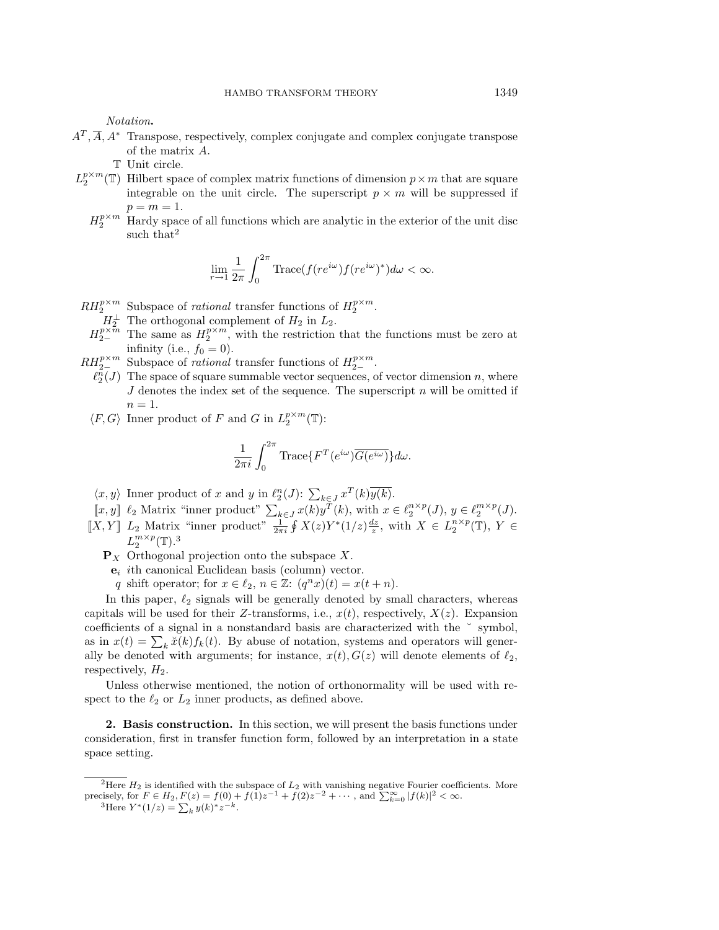Notation**.**

- $A^T, \overline{A}, A^*$  Transpose, respectively, complex conjugate and complex conjugate transpose of the matrix A.
	- T Unit circle.
- $L_2^{p \times m}(\mathbb{T})$  Hilbert space of complex matrix functions of dimension  $p \times m$  that are square integrable on the unit circle. The superscript  $p \times m$  will be suppressed if  $p = m = 1.$ 
	- $H_2^{p \times m}$  Hardy space of all functions which are analytic in the exterior of the unit disc such that<sup>2</sup>

$$
\lim_{r \to 1} \frac{1}{2\pi} \int_0^{2\pi} \text{Trace}(f(re^{i\omega})) f(re^{i\omega})^*) d\omega < \infty.
$$

 $RH_2^{p\times m}$  Subspace of *rational* transfer functions of  $H_2^{p\times m}$ .

- $H_2^{\perp}$  The orthogonal complement of  $H_2$  in  $L_2$ .
- $H_{2-}^{p\times m}$  The same as  $H_2^{p\times m}$ , with the restriction that the functions must be zero at infinity (i.e.,  $f_0 = 0$ ).
- $RH^{p\times m}_{2-}$  Subspace of *rational* transfer functions of  $H^{p\times m}_{2-}$ .
	- $\ell_2^n(J)$  The space of square summable vector sequences, of vector dimension n, where J denotes the index set of the sequence. The superscript n will be omitted if  $n=1$ . Exercise to the matrice of the matrice of the matrice of  $\frac{1}{2\pi i} \int_0^{2\pi}$
	- $\langle F, G \rangle$  Inner product of F and G in  $L_2^{p \times m}(\mathbb{T})$ :

$$
\frac{1}{2\pi i} \int_0^{2\pi} \text{Trace}\{F^T(e^{i\omega})\overline{G(e^{i\omega})}\}d\omega.
$$

- $x, G$  Inner product of  $Y$  and  $G$  in  $L_2$  (ii)<br> $\frac{1}{2\pi i} \int_0^{2\pi} \text{Trace}\{F(x, y) \text{ Inner product of } x \text{ and } y \text{ in } \ell_2^n(J): \sum$  $\sum_{k\in J} x^T(k)\overline{y(k)}.$
- $\frac{1}{2\pi i} \int_0^{2\pi}$ <br> $\langle x, y \rangle$  Inner product of x and y in  $\ell$ <br>[x, y]  $\ell_2$  Matrix "inner product"  $\sum$  $\sum_{k\in J} x(k)y^{T}(k)$ , with  $x \in \ell_2^{n \times p}(J)$ ,  $y \in \ell_2^{m \times p}(J)$ .
- $\llbracket X,Y \rrbracket$  L<sub>2</sub> Matrix "inner product"  $\frac{1}{2\pi i} \oint X(z)Y^*(1/z) \frac{dz}{z}$ , with  $X \in L_2^{n \times p}(\mathbb{T})$ ,  $Y \in$  $L_2^{m \times p}(\mathbb{T}).^3$ 
	- $\mathbf{P}_X$  Orthogonal projection onto the subspace X.
		- **e**<sub>i</sub> ith canonical Euclidean basis (column) vector.
		- q shift operator; for  $x \in \ell_2$ ,  $n \in \mathbb{Z}$ :  $(q^n x)(t) = x(t+n)$ .

In this paper,  $\ell_2$  signals will be generally denoted by small characters, whereas capitals will be used for their Z-transforms, i.e.,  $x(t)$ , respectively,  $X(z)$ . Expansion coefficients of a signal in a nonstandard basis are characterized with the ˘ symbol, **e**<sub>*i*</sub> th can<br>
q shift op<br>
In this pap<br>
capitals will be<br>
coefficients of a<br>
as in  $x(t) = \sum$  $\sum_k \breve{x}(k) f_k(t)$ . By abuse of notation, systems and operators will generally be denoted with arguments; for instance,  $x(t)$ ,  $G(z)$  will denote elements of  $\ell_2$ , respectively,  $H_2$ .

Unless otherwise mentioned, the notion of orthonormality will be used with respect to the  $\ell_2$  or  $L_2$  inner products, as defined above.

**2. Basis construction.** In this section, we will present the basis functions under consideration, first in transfer function form, followed by an interpretation in a state space setting.

<sup>&</sup>lt;sup>2</sup>Here  $H_2$  is identified with the subspace of  $L_2$  with vanishing negative Fourier coefficients. More precisely, for  $F \in H_2$ ,  $F(z) = f(0) + f(1)z^{-1} + f(2)z^{-2} + \cdots$ , and  $\sum_{k=0}^{\infty} |f(k)|^2 < \infty$ .<br><sup>3</sup>Here  $Y^*(1/z) = \sum_k y(k)^* z^{-k}$ . <sup>3</sup>Here  $Y^*(1/z) = \sum_k y(k)^* z^{-k}$ .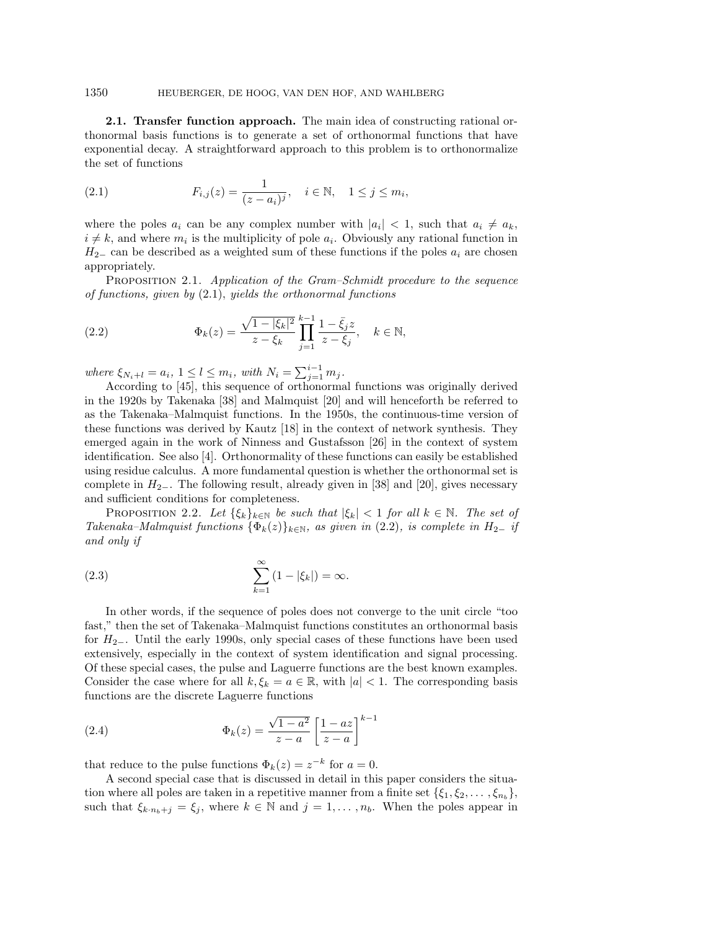**2.1. Transfer function approach.** The main idea of constructing rational orthonormal basis functions is to generate a set of orthonormal functions that have exponential decay. A straightforward approach to this problem is to orthonormalize the set of functions

(2.1) 
$$
F_{i,j}(z) = \frac{1}{(z - a_i)^j}, \quad i \in \mathbb{N}, \quad 1 \le j \le m_i,
$$

where the poles  $a_i$  can be any complex number with  $|a_i| < 1$ , such that  $a_i \neq a_k$ ,  $i \neq k$ , and where  $m_i$  is the multiplicity of pole  $a_i$ . Obviously any rational function in  $H_{2-}$  can be described as a weighted sum of these functions if the poles  $a_i$  are chosen<br>appropriately appropriately.

PROPOSITION 2.1. Application of the Gram–Schmidt procedure to the sequence of functions, given by  $(2.1)$ , yields the orthonormal functions

(2.2) 
$$
\Phi_k(z) = \frac{\sqrt{1 - |\xi_k|^2}}{z - \xi_k} \prod_{j=1}^{k-1} \frac{1 - \bar{\xi}_j z}{z - \xi_j}, \quad k \in \mathbb{N},
$$
  
where  $\xi_{N_i + l} = a_i, 1 \le l \le m_i$ , with  $N_i = \sum_{j=1}^{i-1} m_j$ .

According to [45], this sequence of orthonormal functions was originally derived in the 1920s by Takenaka [38] and Malmquist [20] and will henceforth be referred to as the Takenaka–Malmquist functions. In the 1950s, the continuous-time version of these functions was derived by Kautz [18] in the context of network synthesis. They emerged again in the work of Ninness and Gustafsson [26] in the context of system identification. See also [4]. Orthonormality of these functions can easily be established using residue calculus. A more fundamental question is whether the orthonormal set is complete in  $H_{2-}$ . The following result, already given in [38] and [20], gives necessary and sufficient conditions for completeness.

PROPOSITION 2.2. Let  $\{\xi_k\}_{k\in\mathbb{N}}$  be such that  $|\xi_k| < 1$  for all  $k \in \mathbb{N}$ . The set of Takenaka–Malmquist functions  $\{\Phi_k(z)\}_{k\in\mathbb{N}}$ , as given in  $(2.2)$ , is complete in  $H_{2-}$  if and only if

(2.3) 
$$
\sum_{k=1}^{\infty} (1 - |\xi_k|) = \infty.
$$

In other words, if the sequence of poles does not converge to the unit circle "too fast," then the set of Takenaka–Malmquist functions constitutes an orthonormal basis for H<sup>2</sup>−. Until the early 1990s, only special cases of these functions have been used extensively, especially in the context of system identification and signal processing. Of these special cases, the pulse and Laguerre functions are the best known examples. Consider the case where for all  $k, \xi_k = a \in \mathbb{R}$ , with  $|a| < 1$ . The corresponding basis functions are the discrete Laguerre functions

(2.4) 
$$
\Phi_k(z) = \frac{\sqrt{1-a^2}}{z-a} \left[ \frac{1-az}{z-a} \right]^{k-1}
$$

that reduce to the pulse functions  $\Phi_k(z) = z^{-k}$  for  $a = 0$ .

A second special case that is discussed in detail in this paper considers the situation where all poles are taken in a repetitive manner from a finite set  $\{\xi_1, \xi_2, \ldots, \xi_{n_b}\}\,$ such that  $\xi_{k \cdot n_b+j} = \xi_j$ , where  $k \in \mathbb{N}$  and  $j = 1, \ldots, n_b$ . When the poles appear in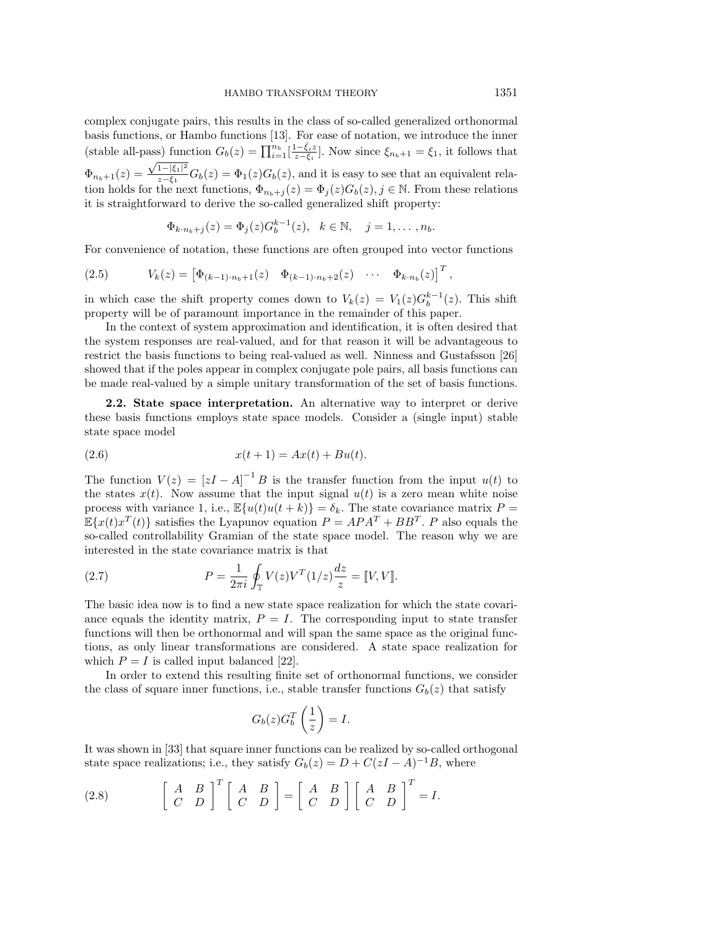complex conjugate pairs, this results in the class of so-called generalized orthonormal basis functions, or Hambo functions [13]. For ease of notation, we introduce the inner HAMBO TRANSFORM THEORY 1351<br>complex conjugate pairs, this results in the class of so-called generalized orthonormal<br>basis functions, or Hambo functions [13]. For ease of notation, we introduce the inner<br>(stable all-pass)  $\Phi_{n_b+1}(z) = \frac{\sqrt{1-|\xi_1|^2}}{z-\xi_1}$  $\frac{1-\vert \zeta_1 \vert}{z-\zeta_1}G_b(z)=\Phi_1(z)G_b(z)$ , and it is easy to see that an equivalent relation holds for the next functions,  $\Phi_{n_b+j}(z)=\Phi_j(z)G_b(z), j \in \mathbb{N}$ . From these relations it is straightforward to derive the so-called generalized shift property:

$$
\Phi_{k \cdot n_b + j}(z) = \Phi_j(z) G_b^{k-1}(z), \quad k \in \mathbb{N}, \quad j = 1, \dots, n_b.
$$

For convenience of notation, these functions are often grouped into vector functions

it is straightforward to derive the so-called generalized shift property:  
\n
$$
\Phi_{k \cdot n_b+j}(z) = \Phi_j(z) G_b^{k-1}(z), \quad k \in \mathbb{N}, \quad j = 1, ..., n_b.
$$
\nFor convenience of notation, these functions are often grouped into vect(2.5) 
$$
V_k(z) = \begin{bmatrix} \Phi_{(k-1) \cdot n_b+1}(z) & \Phi_{(k-1) \cdot n_b+2}(z) & \cdots & \Phi_{k \cdot n_b}(z) \end{bmatrix}^T,
$$

in which case the shift property comes down to  $V_k(z) = V_1(z)G_b^{k-1}(z)$ . This shift property will be of paramount importance in the remainder of this paper.

In the context of system approximation and identification, it is often desired that the system responses are real-valued, and for that reason it will be advantageous to restrict the basis functions to being real-valued as well. Ninness and Gustafsson [26] showed that if the poles appear in complex conjugate pole pairs, all basis functions can be made real-valued by a simple unitary transformation of the set of basis functions.

**2.2. State space interpretation.** An alternative way to interpret or derive these basis functions employs state space models. Consider a (single input) stable state space model

(2.6) 
$$
x(t+1) = Ax(t) + Bu(t).
$$

The function  $V(z) = [zI - A]^{-1}B$  is the transfer function from the input  $u(t)$  to the states  $x(t)$ . Now assume that the input signal  $u(t)$  is a zero mean white noise process with variance 1, i.e.,  $\mathbb{E}\{u(t)u(t+k)\} = \delta_k$ . The state covariance matrix  $P =$  $\mathbb{E}\{x(t)x^{T}(t)\}\$  satisfies the Lyapunov equation  $P = APA^{T} + BB^{T}$ . P also equals the so-called controllability Gramian of the state space model. The reason why we are interested in the state covariance matrix is that  $E{u$ (<br>  $E{u}$ (apun<br>
mian<br>
ance<br>  $\frac{1}{2\pi i}$  β

(2.7) 
$$
P = \frac{1}{2\pi i} \oint_{\mathbb{T}} V(z) V^{T}(1/z) \frac{dz}{z} = [V, V].
$$

The basic idea now is to find a new state space realization for which the state covariance equals the identity matrix,  $P = I$ . The corresponding input to state transfer functions will then be orthonormal and will span the same space as the original functions, as only linear transformations are considered. A state space realization for which  $P = I$  is called input balanced [22].

In order to extend this resulting finite set of orthonormal functions, we consider the class of square inner functions, i.e., stable transfer functions  $G_b(z)$  that satisfy

$$
G_b(z)G_b^T\left(\frac{1}{z}\right) = I.
$$

It was shown in [33] that square inner functions can be realized by so-called orthogonal state space realizations; i.e., they satisfy  $G_b(z) = D + C(zI - A)^{-1}B$ , where

$$
G_b(z)G_b^T\left(\frac{1}{z}\right) = I.
$$
  
It was shown in [33] that square inner functions can be realized by so-ca!  
state space realizations; i.e., they satisfy  $G_b(z) = D + C(zI - A)^{-1}B$ ,  
(2.8) 
$$
\begin{bmatrix} A & B \\ C & D \end{bmatrix}^T \begin{bmatrix} A & B \\ C & D \end{bmatrix} = \begin{bmatrix} A & B \\ C & D \end{bmatrix} \begin{bmatrix} A & B \\ C & D \end{bmatrix}^T = I.
$$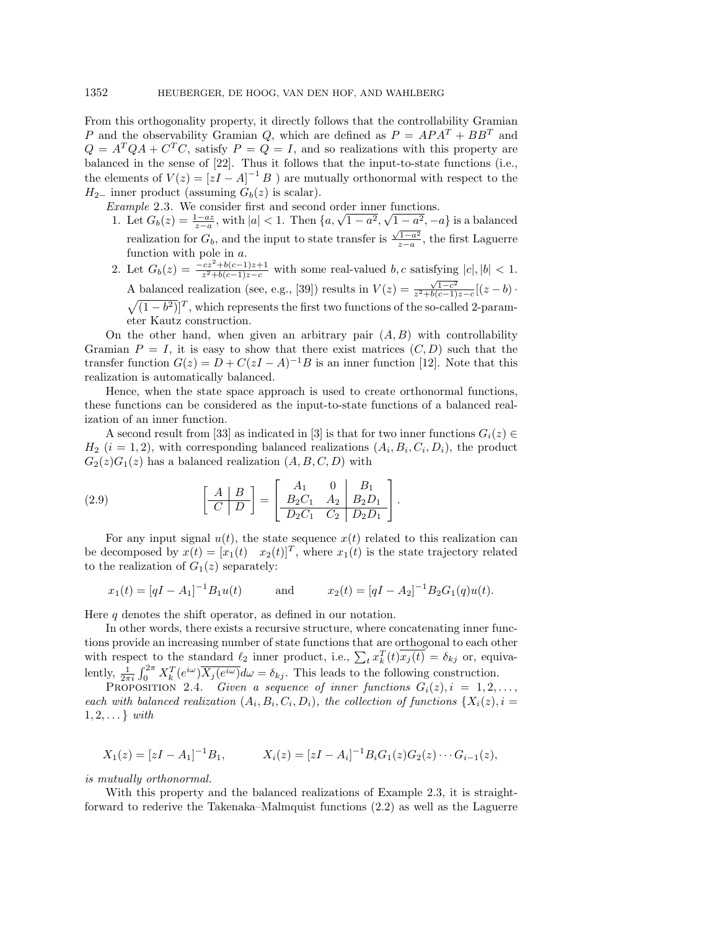From this orthogonality property, it directly follows that the controllability Gramian P and the observability Gramian Q, which are defined as  $P = APA^{T} + BB^{T}$  and  $Q = A^TQA + C^TC$ , satisfy  $P = Q = I$ , and so realizations with this property are balanced in the sense of [22]. Thus it follows that the input-to-state functions (i.e., the elements of  $V(z) = [zI - A]^{-1}B$  ) are mutually orthonormal with respect to the  $H_{2-}$  inner product (assuming  $G_b(z)$  is scalar).

Example 2.3. We consider first and second order inner functions.

- *1.* Let  $G_b(z) = \frac{1-a z}{z-a}$ , with  $|a| < 1$ . Then  $\{a, \sqrt{1-a^2}, \sqrt{1-a^2}, -a\}$  is a balanced realization for  $G_b$ , and the input to state transfer is  $\frac{\sqrt{1-a^2}}{z-a}$ , the first Laguerre function with pole in a.
- 2. Let  $G_b(z) = \frac{-cz^2 + b(c-1)z+1}{z^2 + b(c-1)z-c}$  with some real-valued b, c satisfying  $|c|, |b| < 1$ . A balanced realization (see, e.g., [39]) results in  $V(z) = \frac{\sqrt{1-c^2}}{z^2 + b(c-1)z-c}[(z-b)$ . realization for  $G_b$ , and the input to state transfer is  $\frac{\sqrt{1-a^2}}{z-a}$ , the first Laguerre<br>function with pole in a.<br>Let  $G_b(z) = \frac{-cz^2 + b(c-1)z+1}{z^2 + b(c-1)z-c}$  with some real-valued b, c satisfying  $|c|, |b| < 1$ .<br>A balanced  $\sqrt{(1-b^2)}$ <sup>T</sup>, which represents the first two functions of the so-called 2-parameter Kautz construction.

On the other hand, when given an arbitrary pair  $(A, B)$  with controllability Gramian  $P = I$ , it is easy to show that there exist matrices  $(C, D)$  such that the transfer function  $G(z) = D + C(zI - A)^{-1}B$  is an inner function [12]. Note that this realization is automatically balanced.

Hence, when the state space approach is used to create orthonormal functions, these functions can be considered as the input-to-state functions of a balanced realization of an inner function.

A second result from [33] as indicated in [3] is that for two inner functions  $G_i(z) \in$  $H_2$   $(i = 1, 2)$ , with corresponding balanced realizations  $(A_i, B_i, C_i, D_i)$ , the product  $G_2(z)G_1(z)$  has a balanced realization  $(A, B, C, D)$  with a A second result from [33] as indicated in [3] is that for two<br>  $H_2$  (*i* = 1, 2), with corresponding balanced realizations (*A<sub>i</sub>*, *I*<br>  $G_2(z)G_1(z)$  has a balanced realization (*A*, *B*, *C*, *D*) with<br>
(2.9)  $\begin{bmatrix} A & B$ 

(2.9) 
$$
\left[\begin{array}{c|c} A & B \\ \hline C & D \end{array}\right] = \left[\begin{array}{cc|c} A_1 & 0 & B_1 \\ B_2C_1 & A_2 & B_2D_1 \\ \hline D_2C_1 & C_2 & D_2D_1 \end{array}\right]
$$

For any input signal  $u(t)$ , the state sequence  $x(t)$  related to this realization can be decomposed by  $x(t)=[x_1(t) \quad x_2(t)]^T$ , where  $x_1(t)$  is the state trajectory related to the realization of  $G_1(z)$  separately:

$$
x_1(t) = [qI - A_1]^{-1}B_1u(t)
$$
 and  $x_2(t) = [qI - A_2]^{-1}B_2G_1(q)u(t)$ .

Here  $q$  denotes the shift operator, as defined in our notation.

In other words, there exists a recursive structure, where concatenating inner functions provide an increasing number of state functions that are orthogonal to each other  $x_1(t) = [qI - A_1]^{-1}B_1u(t)$  and  $x_2(t)$  =<br>Here q denotes the shift operator, as defined in our not<br>In other words, there exists a recursive structure, wh<br>tions provide an increasing number of state functions that<br>with respe  $\sum_t x_k^T(t) \overline{x_j(t)} = \delta_{kj}$  or, equivalently,  $\frac{1}{2\pi i}$  $\int_0^{2\pi} X_k^T(e^{i\omega}) \overline{X_j(e^{i\omega})} d\omega = \delta_{kj}$ . This leads to the following construction.

PROPOSITION 2.4. Given a sequence of inner functions  $G_i(z)$ ,  $i = 1, 2, \ldots$ , each with balanced realization  $(A_i, B_i, C_i, D_i)$ , the collection of functions  $\{X_i(z), i =$  $1, 2, \ldots$  with

$$
X_1(z) = [zI - A_1]^{-1}B_1,
$$
  $X_i(z) = [zI - A_i]^{-1}B_iG_1(z)G_2(z) \cdots G_{i-1}(z),$ 

is mutually orthonormal.

With this property and the balanced realizations of Example 2.3, it is straightforward to rederive the Takenaka–Malmquist functions (2.2) as well as the Laguerre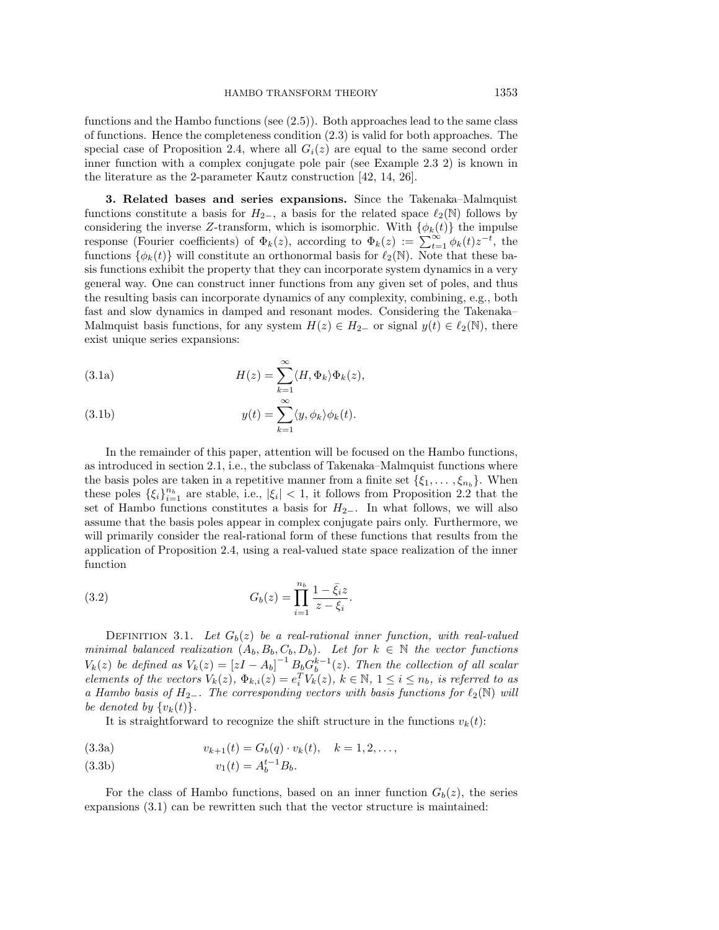functions and the Hambo functions (see (2.5)). Both approaches lead to the same class of functions. Hence the completeness condition (2.3) is valid for both approaches. The special case of Proposition 2.4, where all  $G_i(z)$  are equal to the same second order inner function with a complex conjugate pole pair (see Example 2.3 2) is known in the literature as the 2-parameter Kautz construction [42, 14, 26].

**3. Related bases and series expansions.** Since the Takenaka–Malmquist functions constitute a basis for  $H_{2-}$ , a basis for the related space  $\ell_2(N)$  follows by considering the inverse Z-transform, which is isomorphic. With  $\{\phi_k(t)\}\$ the impulse the literature as the 2-parameter Kautz construction [42, 14, 26].<br>
3. Related bases and series expansions. Since the Takenaka–Malmquist<br>
functions constitute a basis for  $H_{2-}$ , a basis for the related space  $\ell_2(\mathbb{N})$ functions  $\{\phi_k(t)\}\$  will constitute an orthonormal basis for  $\ell_2(\mathbb{N})$ . Note that these basis functions exhibit the property that they can incorporate system dynamics in a very general way. One can construct inner functions from any given set of poles, and thus the resulting basis can incorporate dynamics of any complexity, combining, e.g., both fast and slow dynamics in damped and resonant modes. Considering the Takenaka–Malmquist basis functions, for any system  $H(z) \in H_{2-}$  or signal  $y(t) \in \ell_2(\mathbb{N})$ , there exist unique series expansions:<br>
(3.1a)  $H(z) = \sum_{k=1}^$ Malmquist basis functions, for any system  $H(z) \in H_{2-}$  or signal  $y(t) \in \ell_2(\mathbb{N})$ , there exist unique series expansions:

exist unique series expansions:

\n
$$
(3.1a) \quad H(z) = \sum_{k=1}^{\infty} \langle H, \Phi_k \rangle \Phi_k(z),
$$
\n
$$
(3.1b) \quad y(t) = \sum_{k=1}^{\infty} \langle y, \phi_k \rangle \phi_k(t).
$$

(3.1b) 
$$
y(t) = \sum_{k=1}^{\infty} \langle y, \phi_k \rangle \phi_k(t).
$$

In the remainder of this paper, attention will be focused on the Hambo functions, as introduced in section 2.1, i.e., the subclass of Takenaka–Malmquist functions where the basis poles are taken in a repetitive manner from a finite set  $\{\xi_1,\ldots,\xi_{n_b}\}.$  When these poles  $\{\xi_i\}_{i=1}^{n_b}$  are stable, i.e.,  $|\xi_i| < 1$ , it follows from Proposition 2.2 that the set of Hambo functions constitutes a basis for  $H_{2-}$ . In what follows, we will also assume that the basis poles appear in complex conjugate pairs only. Furthermore, we will primarily consider the real-rational form of these functions that results from the application of Proposition 2.4, using a real-valued state space realization of the inner function Fax in complete<br>ational form<br> $\text{sing a real-}$ <br> $G_b(z) = \prod^{n_b}$ 

(3.2) 
$$
G_b(z) = \prod_{i=1}^{n_b} \frac{1 - \bar{\xi}_i z}{z - \xi_i}.
$$

DEFINITION 3.1. Let  $G_b(z)$  be a real-rational inner function, with real-valued minimal balanced realization  $(A_b, B_b, C_b, D_b)$ . Let for  $k \in \mathbb{N}$  the vector functions  $V_k(z)$  be defined as  $V_k(z) = [zI - A_b]^{-1} B_b G_b^{k-1}(z)$ . Then the collection of all scalar elements of the vectors  $V_k(z)$ ,  $\Phi_{k,i}(z) = e_i^T V_k(z)$ ,  $k \in \mathbb{N}$ ,  $1 \le i \le n_b$ , is referred to as a Hambo basis of H<sub>2</sub>−. The corresponding vectors with basis functions for  $\ell_2(\mathbb{N})$  will be denoted by  $\{v_k(t)\}.$ 

It is straightforward to recognize the shift structure in the functions  $v_k(t)$ :

(3.3a) 
$$
v_{k+1}(t) = G_b(q) \cdot v_k(t), \quad k = 1, 2, \dots,
$$

(3.3b) 
$$
v_1(t) = A_b^{t-1} B_b.
$$

For the class of Hambo functions, based on an inner function  $G_b(z)$ , the series expansions (3.1) can be rewritten such that the vector structure is maintained: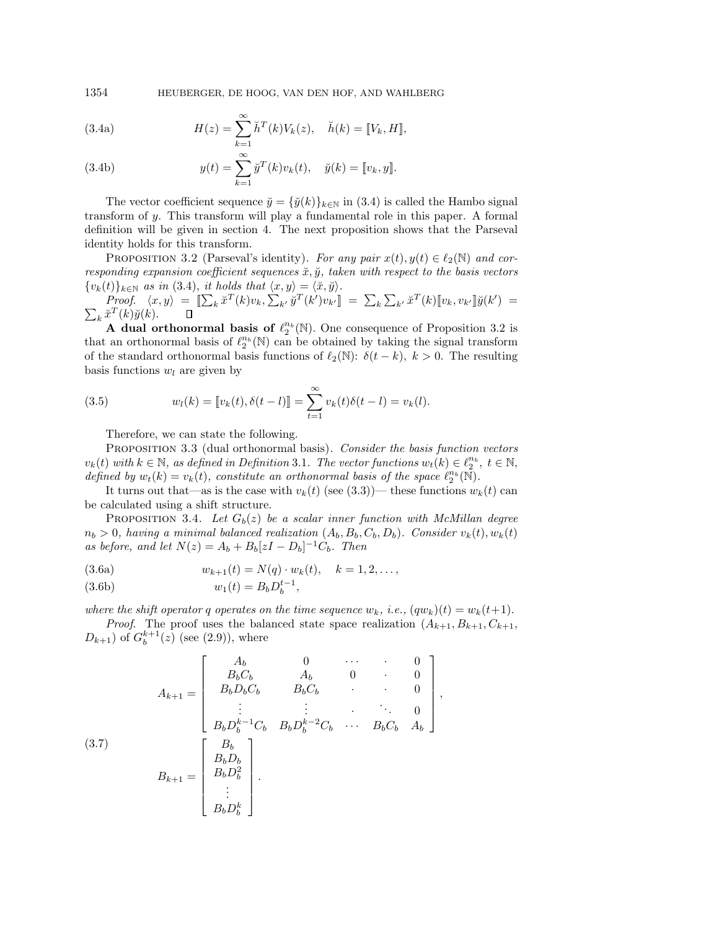1354 HEUBERGER, DE HOOG, VAN DEN HOF, AND WAHLBERG

1354  
\nHEUBERGER, DE HOOG, VAN DEN HOF, AND WAH

\n(3.4a)

\n
$$
H(z) = \sum_{k=1}^{\infty} \breve{h}^{T}(k) V_{k}(z), \quad \breve{h}(k) = [V_{k}, H],
$$
\n(3.4b)

\n
$$
y(t) = \sum_{k=1}^{\infty} \breve{y}^{T}(k) v_{k}(t), \quad \breve{y}(k) = [v_{k}, y].
$$

(3.4b) 
$$
y(t) = \sum_{k=1}^{\infty} \check{y}^{T}(k)v_{k}(t), \quad \check{y}(k) = [v_{k}, y].
$$

The vector coefficient sequence  $\ddot{y} = {\{\ddot{y}(k)\}}_{k \in \mathbb{N}}$  in (3.4) is called the Hambo signal transform of y. This transform will play a fundamental role in this paper. A formal definition will be given in section 4. The next proposition shows that the Parseval identity holds for this transform.

PROPOSITION 3.2 (Parseval's identity). For any pair  $x(t), y(t) \in \ell_2(\mathbb{N})$  and corresponding expansion coefficient sequences  $\breve{x}, \breve{y}$ , taken with respect to the basis vectors  $\{v_k(t)\}_{k\in\mathbb{N}}$  as in (3.4), it holds that  $\langle x, y \rangle = \langle \breve{x}, \breve{y} \rangle$ . ition will be given in<br>tity holds for this tra<br>PROPOSITION 3.2 (F<br>*onding expansion coe,*<br> $t$ )} $_{k \in \mathbb{N}}$  as in (3.4), it<br>*Proof.*  $\langle x, y \rangle = \llbracket \sum$ i in section 4. The next propositi<br>
ransform.<br>
(Parseval's identity). For any pair<br>
oefficient sequences  $\check{x}, \check{y}$ , taken with<br>
it holds that  $\langle x, y \rangle = \langle \check{x}, \check{y} \rangle$ .<br>  $\sum_k \check{x}^T(k)v_k, \sum_{k'} \check{y}^T(k')v_{k'} \rceil = \sum_{k'}$ 

Proof.  $\langle x, y \rangle = \llbracket \sum_k \breve{x}^T(k) v_k, \sum_{k'} \breve{y}^T(k') v_{k'} \rrbracket = \sum_k \sum_{k'} \breve{x}^T(k) \llbracket v_k, v_{k'} \rrbracket \breve{y}(k') =$  $_k \breve{x}^T(k)\breve{y}(k).$ 

**A** dual orthonormal basis of  $\ell_2^{n_b}(\mathbb{N})$ . One consequence of Proposition 3.2 is **A dual orthonormal basis of**  $\ell_2^{n_b}(\mathbb{N})$ . One consequence of Proposition 3.2 is<br>that an orthonormal basis of  $\ell_2^{n_b}(\mathbb{N})$  can be obtained by taking the signal transform<br>of the standard orthonormal basis function of the standard orthonormal basis functions of  $\ell_2(\mathbb{N})$ :  $\delta(t-k)$ ,  $k>0$ . The resulting basis functions  $w_l$  are given by

(3.5) 
$$
w_l(k) = [v_k(t), \delta(t-l)] = \sum_{t=1}^{\infty} v_k(t)\delta(t-l) = v_k(l).
$$

Therefore, we can state the following.

PROPOSITION 3.3 (dual orthonormal basis). Consider the basis function vectors  $v_k(t)$  with  $k \in \mathbb{N}$ , as defined in Definition 3.1. The vector functions  $w_t(k) \in \ell_2^{n_b}$ ,  $t \in \mathbb{N}$ , defined by  $w_t(k) = v_k(t)$ , constitute an orthonormal basis of the space  $\ell_2^{n_b}(\tilde{N})$ .

It turns out that—as is the case with  $v_k(t)$  (see (3.3))— these functions  $w_k(t)$  can be calculated using a shift structure.

PROPOSITION 3.4. Let  $G_b(z)$  be a scalar inner function with McMillan degree  $n_b > 0$ , having a minimal balanced realization  $(A_b, B_b, C_b, D_b)$ . Consider  $v_k(t), w_k(t)$ as before, and let  $N(z) = A_b + B_b[zI - D_b]^{-1}C_b$ . Then

(3.6a) 
$$
w_{k+1}(t) = N(q) \cdot w_k(t), \quad k = 1, 2, \dots,
$$

(3.6b) 
$$
w_1(t) = B_b D_b^{t-1},
$$

where the shift operator q operates on the time sequence  $w_k$ , i.e.,  $(qw_k)(t) = w_k(t+1)$ .

*Proof.* The proof uses the balanced state space realization  $(A_{k+1}, B_{k+1}, C_{k+1}, A)$  of  $G_k^{k+1}(z)$  (see (2.9)) where  $D_{k+1}$ ) of  $G_b^{k+1}(z)$  (see (2.9)), where

$$
A_{k+1} = \begin{bmatrix} A_b & 0 & \cdots & 0 \\ B_b C_b & A_b & 0 & \cdot & 0 \\ B_b D_b C_b & B_b C_b & \cdot & \cdot & 0 \\ \vdots & \vdots & \vdots & \ddots & \vdots \\ B_b D_b^{k-1} C_b & B_b D_b^{k-2} C_b & \cdots & B_b C_b & A_b \end{bmatrix},
$$
  
(3.7)  

$$
B_{k+1} = \begin{bmatrix} B_b \\ B_b D_b \\ B_b D_b^2 \\ \vdots \\ B_b D_b^k \end{bmatrix}.
$$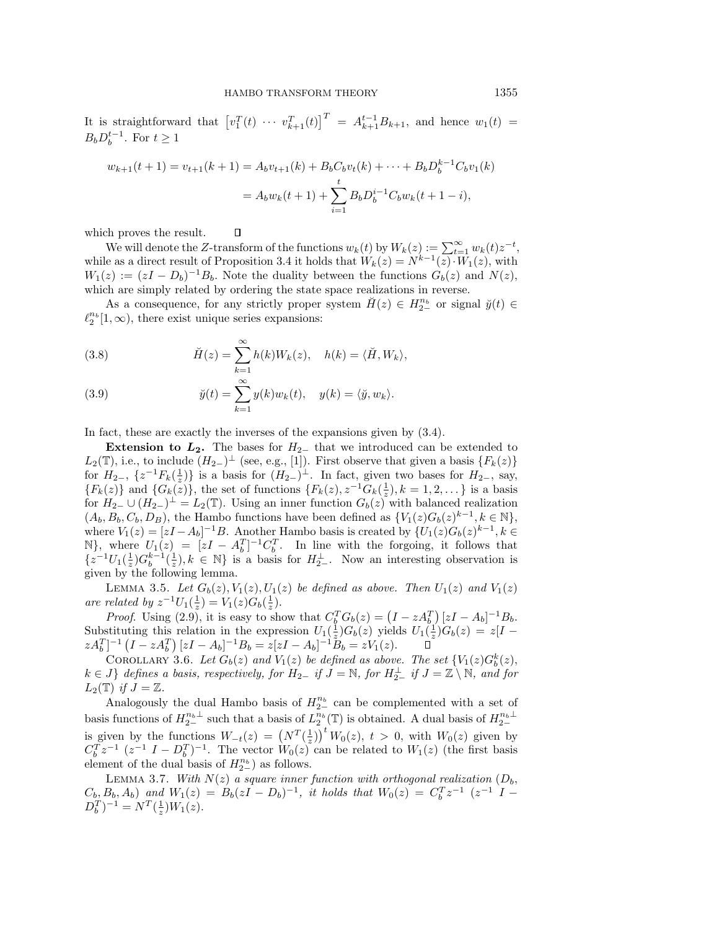It is straightforward that  $\lceil$  $B_b D_b^{t-1}$ . For  $t \geq 1$ 

is straightforward that 
$$
\left[v_1^T(t) \cdots v_{k+1}^T(t)\right]^T = A_{k+1}^{t-1} B_{k+1}, \text{ and hence } w_1(t) = b_b^{t-1}. \text{ For } t \ge 1
$$
  

$$
w_{k+1}(t+1) = v_{t+1}(k+1) = A_b v_{t+1}(k) + B_b C_b v_t(k) + \cdots + B_b D_b^{k-1} C_b v_1(k)
$$

$$
= A_b w_k(t+1) + \sum_{i=1}^t B_b D_b^{i-1} C_b w_k(t+1-i),
$$
ch proves the result. 
$$
\Box
$$
  
We will denote the Z-transform of the functions  $w_k(t)$  by  $W_k(z) := \sum_{t=1}^\infty w_k(t) z^{-t}$ ,

which proves the result.

while as a direct result of Proposition 3.4 it holds that  $W_k(z) = N^{k-1}(z) \cdot W_1(z)$ , with  $W_1(z) := (zI - D_b)^{-1}B_b$ . Note the duality between the functions  $G_b(z)$  and  $N(z)$ ,

which are simply related by ordering the state space realizations in reverse.<br>
As a consequence, for any strictly proper system  $\check{H}(z) \in H_{2-}^{n_b}$  or sign  $\ell_2^{n_b}[1,\infty)$ , there exist unique series expansions:<br>
(3.8)  $\$ As a consequence, for any strictly proper system  $H(z) \in H_{2-}^{n_b}$  or signal  $\check{y}(t) \in$  $\ell_2^{n_b}[1,\infty),$  there exist unique series expansions:

(3.8) 
$$
\check{H}(z) = \sum_{k=1}^{\infty} h(k)W_k(z), \quad h(k) = \langle \check{H}, W_k \rangle,
$$
  
\n(3.9) 
$$
\check{y}(t) = \sum_{k=1}^{\infty} y(k)w_k(t), \quad y(k) = \langle \check{y}, w_k \rangle.
$$

(3.9) 
$$
\breve{y}(t) = \sum_{k=1}^{\infty} y(k) w_k(t), \quad y(k) = \langle \breve{y}, w_k \rangle.
$$

In fact, these are exactly the inverses of the expansions given by (3.4).

**Extension to**  $L_2$ **. The bases for**  $H_{2-}$  **that we introduced can be extended to**  $L_2(\mathbb{T})$ , i.e., to include  $(H_{2-})^{\perp}$  (see, e.g., [1]). First observe that given a basis  $\{F_k(z)\}$ for  $H_{2-}$ ,  $\{z^{-1}F_k(\frac{1}{z})\}$  is a basis for  $(H_{2-})^{\perp}$ . In fact, given two bases for  $H_{2-}$ , say,  ${F_k(z)}$  and  ${G_k(z)}$ , the set of functions  ${F_k(z), z^{-1}G_k(\frac{1}{z}), k = 1, 2, ...}$  is a basis for  $H_{2-} \cup (H_{2-})^{\perp} = L_2(\mathbb{T})$ . Using an inner function  $G_b(z)$  with balanced realization  $(A_b, B_b, C_b, D_B)$ , the Hambo functions have been defined as  $\{V_1(z)G_b(z)^{k-1}, k \in \mathbb{N}\},$ where  $V_1(z) = [zI - A_b]^{-1}B$ . Another Hambo basis is created by  $\{U_1(z)G_b(z)^{k-1}, k \in$ N, where  $U_1(z) = [zI - A_b^T]^{-1}C_b^T$ . In line with the forgoing, it follows that  $\{z^{-1}U_1(\frac{1}{z})G_b^{k-1}(\frac{1}{z}), k \in \mathbb{N}\}\$ is a basis for  $H_{2-}^{\perp}$ . Now an interesting observation is given by the following lemma. where  $U_1(z) = |zI - A_b^L|^{-1}C_b^L$ . In line with the torgoing, it follows that  $U_1(\frac{1}{z})G_b^{k-1}(\frac{1}{z}), k \in \mathbb{N}$  is a basis for  $H_{2-}^{\perp}$ . Now an interesting observation is in by the following lemma.<br>LEMMA 3.5. Let  $G_b(z),$ 

LEMMA 3.5. Let  $G_b(z)$ ,  $V_1(z)$ ,  $U_1(z)$  be defined as above. Then  $U_1(z)$  and  $V_1(z)$ are related by  $z^{-1}U_1(\frac{1}{z}) = V_1(z)G_b(\frac{1}{z}).$ 

Substituting this relation in the expression  $U_1(\frac{1}{z})G_b(z)$  yields  $U_1(\frac{1}{z})G_b(z) = z[I - \frac{1}{z}]$ given by the following lemma.<br>
LEMMA 3.5. Let  $G_b(z)$ ,  $V_1(z)$ ,  $U_1(z)$  be defined as above.<br>
are related by  $z^{-1}U_1(\frac{1}{z}) = V_1(z)G_b(\frac{1}{z})$ .<br>
Proof. Using (2.9), it is easy to show that  $C_b^T G_b(z) = (I$ <br>
Substituting this re

COROLLARY 3.6. Let  $G_b(z)$  and  $V_1(z)$  be defined as above. The set  $\{V_1(z)G_b^k(z),\}$ CONOLEMNT 5.0. Let  $G_b(z)$  and  $V_1(z)$  be defined as doove. The set  $\{V_1(z)G_b(z), k \in J\}$  defines a basis, respectively, for  $H_{2-}$  if  $J = \mathbb{N}$ , for  $H_{2-}^{\perp}$  if  $J = \mathbb{Z} \setminus \mathbb{N}$ , and for  $L_2(\mathbb{T})$  if  $J=\mathbb{Z}$ .

Analogously the dual Hambo basis of  $H_{2-}^{n_b}$  can be complemented with a set of basis functions of  $H_{2-}^{n_b\perp}$  such that a basis of  $L_2^{n_b}(\mathbb{T})$  is obtained. A dual basis of  $H_{2-}^{n_b\perp}$ is given by the functions  $W_{-t}(z) = (N^T(\frac{1}{z}))^t W_0(z)$ ,  $t > 0$ , with  $W_0(z)$ ,  $W_1(z) = W$ ,  $\int_C T^h$  if  $J = \mathbb{Z} \setminus \mathbb{N}$ , and for  $L_2(\mathbb{T})$  if  $J = \mathbb{Z}$ .<br>Analogously the dual Hambo basis of  $H_{2-}^{n_b}$  can be complement  $C_b^T z^{-1}$   $(z^{-1} I - D_b^T)^{-1}$ . The vector  $W_0(z)$  can be related to  $W_1(z)$  (the first basis element of the dual basis of  $H_{2-}^{n_b}$ ) as follows.

LEMMA 3.7. With  $N(z)$  a square inner function with orthogonal realization  $(D_b,$  $(C_b, B_b, A_b)$  and  $W_1(z) = B_b(zI - D_b)^{-1}$ , it holds that  $W_0(z) = C_b^T z^{-1} (z^{-1} I D_b^T$ )<sup>-1</sup> =  $N^T(\frac{1}{z})W_1(z)$ .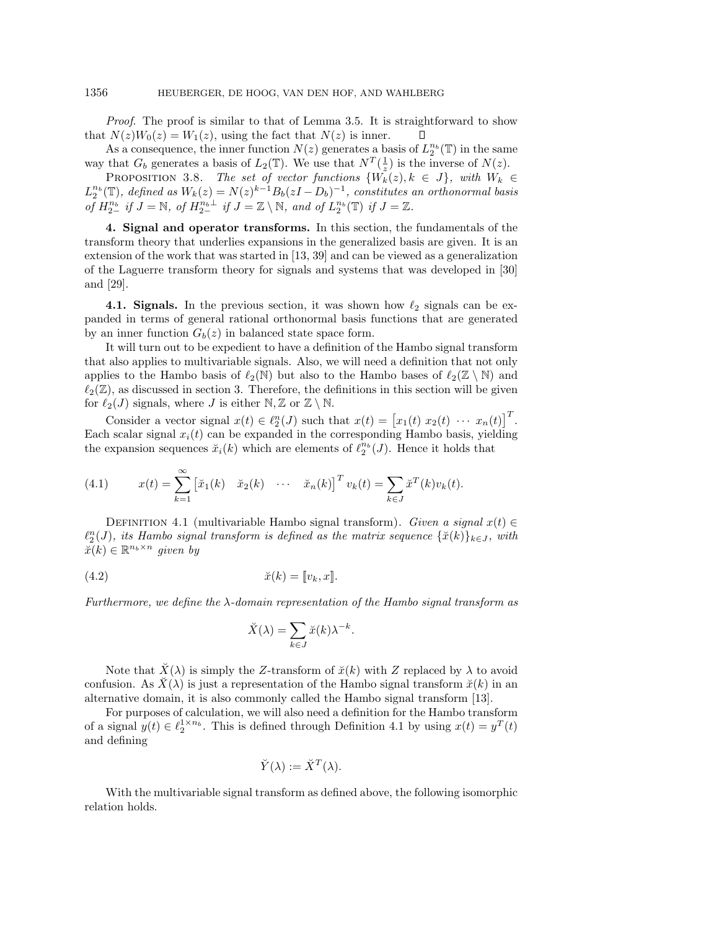Proof. The proof is similar to that of Lemma 3.5. It is straightforward to show that  $N(z)W_0(z) = W_1(z)$ , using the fact that  $N(z)$  is inner. П

As a consequence, the inner function  $N(z)$  generates a basis of  $L_2^{n_b}(\mathbb{T})$  in the same way that  $G_b$  generates a basis of  $L_2(\mathbb{T})$ . We use that  $N^T(\frac{1}{z})$  is the inverse of  $N(z)$ .

PROPOSITION 3.8. The set of vector functions  $\{\widetilde{W_k(z)}, k \in J\}$ , with  $\widetilde{W_k} \in$  $L_2^{n_b}(\mathbb{T})$ , defined as  $W_k(z) = N(z)^{k-1}B_b(zI - D_b)^{-1}$ , constitutes an orthonormal basis of  $H_{2-}^{n_b}$  if  $J = \mathbb{N}$ , of  $H_{2-}^{n_b \perp}$  if  $J = \mathbb{Z} \setminus \mathbb{N}$ , and of  $L_2^{n_b}(\mathbb{T})$  if  $J = \mathbb{Z}$ .

**4. Signal and operator transforms.** In this section, the fundamentals of the transform theory that underlies expansions in the generalized basis are given. It is an extension of the work that was started in [13, 39] and can be viewed as a generalization of the Laguerre transform theory for signals and systems that was developed in [30] and [29].

**4.1. Signals.** In the previous section, it was shown how  $\ell_2$  signals can be expanded in terms of general rational orthonormal basis functions that are generated by an inner function  $G_b(z)$  in balanced state space form.

It will turn out to be expedient to have a definition of the Hambo signal transform that also applies to multivariable signals. Also, we will need a definition that not only applies to the Hambo basis of  $\ell_2(\mathbb{N})$  but also to the Hambo bases of  $\ell_2(\mathbb{Z} \setminus \mathbb{N})$  and  $\ell_2(\mathbb{Z})$ , as discussed in section 3. Therefore, the definitions in this section will be given for  $\ell_2(J)$  signals, where J is either  $\mathbb{N}, \mathbb{Z}$  or  $\mathbb{Z} \setminus \mathbb{N}$ . It will turn out to be expedient to have a definition of the<br>also applies to multivariable signals. Also, we will need a<br>lies to the Hambo basis of  $\ell_2(\mathbb{N})$  but also to the Hambo<br> $\ell$ ), as discussed in section 3. Ther

Let a vector signal  $x(t) \in \ell_2^n(J)$  such that  $x(t) = [x_1(t) \ x_2(t) \ \cdots \ x_n(t)]^T$ .<br>
r signal  $x_i(t)$  can be expanded in the corresponding Hambo basis, yielding<br>
sion sequences  $\ddot{x}_i(k)$  which are elements of  $\ell_2^{n_b}(J)$ . Hence Each scalar signal  $x_i(t)$  can be expanded in the corresponding Hambo basis, yielding the expansion sequences  $\tilde{x}_i(k)$  which are elements of  $\ell_2^{n_b}(J)$ . Hence it holds that

(4.1) 
$$
x(t) = \sum_{k=1}^{\infty} \begin{bmatrix} \breve{x}_1(k) & \breve{x}_2(k) & \cdots & \breve{x}_n(k) \end{bmatrix}^T v_k(t) = \sum_{k \in J} \breve{x}^T(k) v_k(t).
$$

DEFINITION 4.1 (multivariable Hambo signal transform). Given a signal  $x(t) \in$  $\ell_2^n(J)$ , its Hambo signal transform is defined as the matrix sequence  $\{\breve{x}(k)\}_{k\in J}$ , with  $\breve{x}(k) \in \mathbb{R}^{n_b \times n}$  given by

$$
(4.2) \t\t\t \tilde{x}(k) = [v_k, x].
$$

Furthermore, we define the  $\lambda$ -domain representation of the Hambo signal transform as

$$
\check{x}(k) = [v_k, x].
$$
  
*main representation*  

$$
\check{X}(\lambda) = \sum_{k \in J} \check{x}(k) \lambda^{-k}.
$$

Note that  $\check{X}(\lambda)$  is simply the Z-transform of  $\check{x}(k)$  with Z replaced by  $\lambda$  to avoid confusion. As  $\check{X}(\lambda)$  is just a representation of the Hambo signal transform  $\check{x}(k)$  in an alternative domain, it is also commonly called the Hambo signal transform [13].

For purposes of calculation, we will also need a definition for the Hambo transform of a signal  $y(t) \in \ell_2^{1 \times n_b}$ . This is defined through Definition 4.1 by using  $x(t) = y^T(t)$ and defining

$$
\breve{Y}(\lambda) := \breve{X}^T(\lambda).
$$

With the multivariable signal transform as defined above, the following isomorphic relation holds.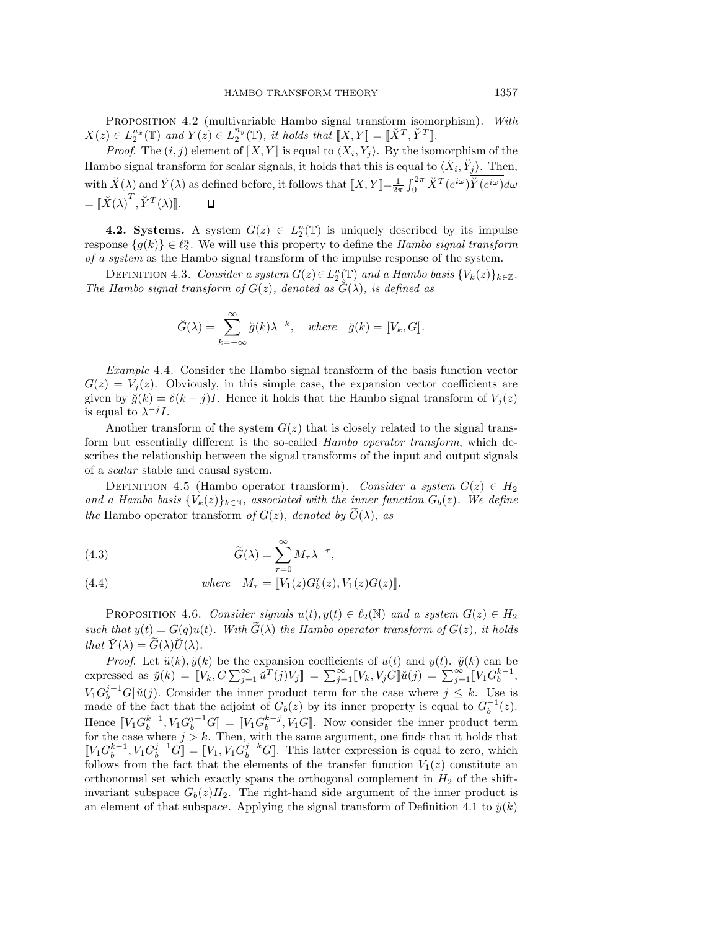PROPOSITION 4.2 (multivariable Hambo signal transform isomorphism). With  $X(z) \in L_2^{n_x}(\mathbb{T})$  and  $Y(z) \in L_2^{n_y}(\mathbb{T})$ , it holds that  $\llbracket X, Y \rrbracket = \llbracket \check{X}^T, \check{Y}^T \rrbracket$ .

*Proof.* The  $(i, j)$  element of  $\llbracket X, Y \rrbracket$  is equal to  $\langle X_i, Y_j \rangle$ . By the isomorphism of the Hambo signal transform for scalar signals, it holds that this is equal to  $\langle \check{X}_i, \check{Y}_j \rangle$ . Then, with  $\breve{X}(\lambda)$  and  $\breve{Y}(\lambda)$  as defined before, it follows that  $\llbracket X, Y \rrbracket = \frac{1}{2\pi}$  $\int_0^{2\pi} \breve{X}^T(e^{i\omega}) \overline{\breve{Y}(e^{i\omega})} d\omega$  $= [\![\breve{X}(\lambda) \!]^T, \breve{Y}^T(\lambda)]\!].$  $\Box$ 

**4.2. Systems.** A system  $G(z) \in L_2^n(\mathbb{T})$  is uniquely described by its impulse response  $\{g(k)\}\in \ell_2^n$ . We will use this property to define the *Hambo signal transform* 

of a system as the Hambo signal transform of the impulse response of the system.<br>
DEFINITION 4.3. Consider a system  $G(z) \in L_2^n(\mathbb{T})$  and a Hambo basis  $\{V_k(z)\}_k$ .<br>
The Hambo signal transform of  $G(z)$ , denoted as  $\check{G}(\lambda)$ DEFINITION 4.3. Consider a system  $G(z) \in L_2^n(\mathbb{T})$  and a Hambo basis  $\{V_k(z)\}_{k \in \mathbb{Z}}$ . The Hambo signal transform of  $G(z)$ , denoted as  $\tilde{G}(\lambda)$ , is defined as

$$
\breve{G}(\lambda) = \sum_{k=-\infty}^{\infty} \breve{g}(k) \lambda^{-k}, \quad where \quad \breve{g}(k) = [V_k, G].
$$

Example 4.4. Consider the Hambo signal transform of the basis function vector  $G(z) = V<sub>i</sub>(z)$ . Obviously, in this simple case, the expansion vector coefficients are given by  $\breve{g}(k) = \delta(k - j)I$ . Hence it holds that the Hambo signal transform of  $V_i(z)$ is equal to  $\lambda^{-j}I$ .

Another transform of the system  $G(z)$  that is closely related to the signal transform but essentially different is the so-called Hambo operator transform, which describes the relationship between the signal transforms of the input and output signals of a scalar stable and causal system.

DEFINITION 4.5 (Hambo operator transform). Consider a system  $G(z) \in H_2$ and a Hambo basis  ${V_k(z)}_{k\in\mathbb{N}}$ , associated with the inner function  $G_b(z)$ . We define scribes the relationship between the signal transforms of the<br>of a *scalar* stable and causal system.<br>DEFINITION 4.5 (Hambo operator transform). Consider<br>and a Hambo basis  $\{V_k(z)\}_{k \in \mathbb{N}}$ , associated with the inner fur b operator<br>  $eg_N$ , associat<br>
m of  $G(z)$ ,<br>  $\widetilde{G}(\lambda) = \sum_{n=1}^{\infty}$ 

(4.3) 
$$
\widetilde{G}(\lambda) = \sum_{\tau=0}^{\infty} M_{\tau} \lambda^{-\tau},
$$

(4.4) where 
$$
M_{\tau} = [V_1(z)G_b^{\tau}(z), V_1(z)G(z)].
$$

PROPOSITION 4.6. Consider signals  $u(t), y(t) \in \ell_2(\mathbb{N})$  and a system  $G(z) \in H_2$ (4.4) where  $M_{\tau} = [V_1(z)G_b^{\tau}(z), V_1(z)G(z)]$ .<br>
PROPOSITION 4.6. Consider signals  $u(t), y(t) \in \ell_2(\mathbb{N})$  and a system  $G(z) \in H_2$ <br>
such that  $y(t) = G(q)u(t)$ . With  $\widetilde{G}(\lambda)$  the Hambo operator transform of  $G(z)$ , it holds such that  $y(t) = G(q)u(t)$ . With  $\tilde{G}(\lambda)$  the Hambo operator transform of  $G(z)$ , it holds that  $\check{Y}(\lambda) = \tilde{G}(\lambda)\check{U}(\lambda)$ . PROPOSITION 4.6. Consider signals  $u(t), y(t) \in \ell_2(\mathbb{N})$  and a system  $G(z) \in H_2$ <br>such that  $y(t) = G(q)u(t)$ . With  $\widetilde{G}(\lambda)$  the Hambo operator transform of  $G(z)$ , it holds<br>that  $\check{Y}(\lambda) = \widetilde{G}(\lambda)\check{U}(\lambda)$ .<br>Proof. Let  $\check{u}($ 

*Proof.* Let  $\breve{u}(k), \breve{y}(k)$  be the expansion coefficients of  $u(t)$  and  $y(t)$ .  $\breve{y}(k)$  can be  $V_1 G_b^{j-1} G \ddagger \check{u}(j)$ . Consider the inner product term for the case where  $j \leq k$ . Use is made of the fact that the adjoint of  $G_b(z)$  by its inner property is equal to  $G_b^{-1}(z)$ . Hence  $\llbracket V_1 G_b^{k-1}, V_1 G_b^{j-1} G \rrbracket = \llbracket V_1 G_b^{k-j}, V_1 G \rrbracket$ . Now consider the inner product term for the case where  $j>k$ . Then, with the same argument, one finds that it holds that  $[V_1G_b^{k-1}, V_1G_b^{j-1}G] = [V_1, V_1G_b^{j-k}G]$ . This latter expression is equal to zero, which follows from the fact that the elements of the transfer function  $V_1(z)$  constitute an orthonormal set which exactly spans the orthogonal complement in  $H_2$  of the shiftinvariant subspace  $G_b(z)H_2$ . The right-hand side argument of the inner product is an element of that subspace. Applying the signal transform of Definition 4.1 to  $\breve{y}(k)$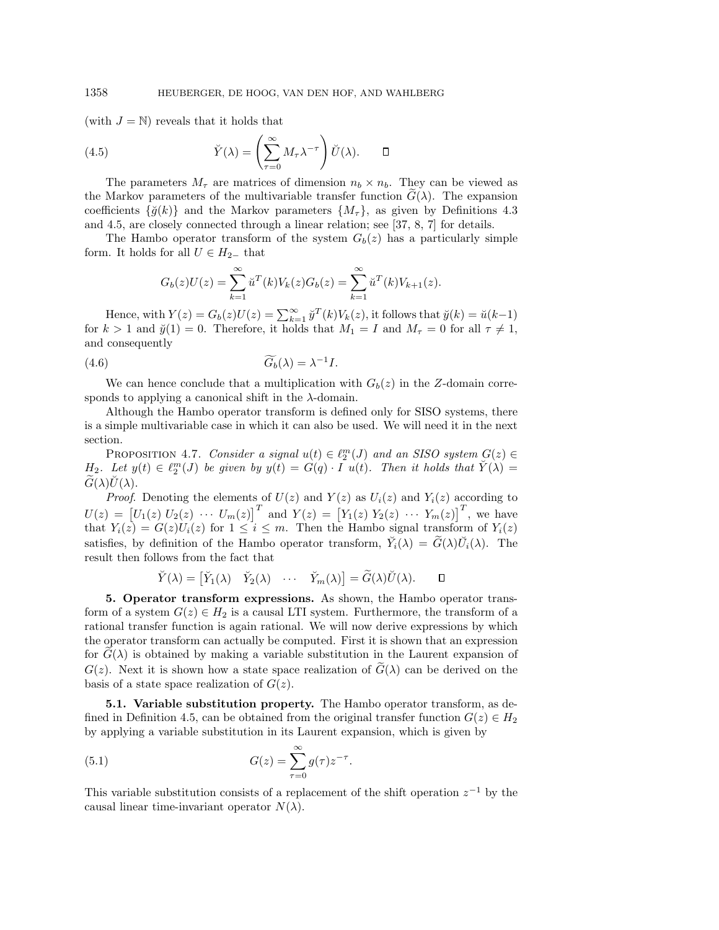(with  $J = N$ ) reveals that it holds that

1358 HEUBERGER, DE HOOG, VAN DEN HOF, AND WAHLBERG  
\n(with 
$$
J = \mathbb{N}
$$
) reveals that it holds that  
\n(4.5) 
$$
\tilde{Y}(\lambda) = \left(\sum_{\tau=0}^{\infty} M_{\tau} \lambda^{-\tau}\right) \check{U}(\lambda). \qquad \Box
$$
\nThe parameters  $M_{\tau}$  are matrices of dimension  $n_b \times n_b$ . They can be viewed as  
\nthe Markov parameters of the multivariable transfer function  $\tilde{G}(\lambda)$ . The expansion

The parameters  $M_{\tau}$  are matrices of dimension  $n_b \times n_b$ . They can be viewed as coefficients  $\{\breve{q}(k)\}\$  and the Markov parameters  $\{M_{\tau}\}\$ , as given by Definitions 4.3 and 4.5, are closely connected through a linear relation; see [37, 8, 7] for details. k)} and the Markov parameters  $\{M_{\tau}\}\$ <br>sely connected through a linear relation<br>o operator transform of the system  $G_b$ <br>for all  $U \in H_{2-}$  that<br> $G_b(z)U(z) = \sum^{\infty} u^T(k)V_k(z)G_b(z) = \sum^{\infty}$ 

The Hambo operator transform of the system  $G_b(z)$  has a particularly simple form. It holds for all  $U \in H_{2-}$  that

1. It holds for all 
$$
U \in H_{2-}
$$
 that

\n
$$
G_b(z)U(z) = \sum_{k=1}^{\infty} \check{u}^T(k)V_k(z)G_b(z) = \sum_{k=1}^{\infty} \check{u}^T(k)V_{k+1}(z).
$$
\nHence, with  $Y(z) = G_b(z)U(z) = \sum_{k=1}^{\infty} \check{y}^T(k)V_k(z)$ , it follows that  $\check{y}(k) = \check{u}(k-1)$ .

for  $k > 1$  and  $\ddot{y}(1) = 0$ . Therefore, it holds that  $M_1 = I$  and  $M_\tau = 0$  for all  $\tau \neq 1$ , and consequently

(4.6) 
$$
\widetilde{G}_b(\lambda) = \lambda^{-1} I.
$$

We can hence conclude that a multiplication with  $G_b(z)$  in the Z-domain corresponds to applying a canonical shift in the  $\lambda$ -domain.

Although the Hambo operator transform is defined only for SISO systems, there section.

is a simple multivariable case in which it can also be used. We will need it in the next<br>section.<br>PROPOSITION 4.7. Consider a signal  $u(t) \in \ell_2^m(J)$  and an SISO system  $G(z) \in$ <br> $H_2$ . Let  $y(t) \in \ell_2^m(J)$  be given by  $y(t) = G$ PROPOSITION 4.7. Consider a signal  $u(t) \in \ell_2^m(J)$  and an SISO system  $G(z) \in$  $H_2$ . Let  $y(t) \in \ell_2^m(J)$  be given by  $y(t) = G(q) \cdot I$  u(t). Then it holds that  $\breve{Y}(\lambda) =$ U(z) = POSITION 4.7. Consider a signal  $u(t) \in \ell$ <br>  $y(t) \in \ell_2^m(J)$  be given by  $y(t) = G(q) \cdot I$ <br>
(*f.* Denoting the elements of  $U(z)$  and  $Y(\l[*U*<sub>1</sub>(z) *U*<sub>2</sub>(z)  $\cdots U_m(z)$ ]<sup>T</sup> and  $Y(z) = \lceil \frac{1}{2} \rceil$$ 

*Proof.* Denoting the elements of  $U(z)$  and  $Y(z)$  as  $U_i(z)$  and  $Y_i(z)$  according to  $[Y_1(z) Y_2(z) \cdots Y_m(z)]^T$ , we have that  $Y_i(z) = G(z)U_i(z)$  for  $1 \leq i \leq m$ . Then the Hambo signal transform of  $Y_i(z)$ satisfies, by definition of the Hambo operator transform,  $\check{Y}_i(\lambda) = G(\lambda) \check{U}_i(\lambda)$ . The if and  $Y_i(z)$  according to<br>
i)  $\cdots$   $Y_m(z)$ <sup>T</sup>, we have<br>
ignal transform of  $Y_i(z)$ <br>  $\tilde{G}(\lambda)\tilde{U}_i(\lambda)$ . The result then follows from the fact that  $U_2(z) \cdots U_m(z)$ <sup>T</sup> and  $Y(z) = [Y_1(z) Y_2(z) \cdots$ <br>  $\mathcal{F}(z)U_i(z)$  for  $1 \leq i \leq m$ . Then the Hambo signa<br>
efinition of the Hambo operator transform,  $\check{Y}_i(\lambda)$ <br>
lows from the fact that<br>  $\check{Y}(\lambda) = [\check{Y}_1(\lambda) \quad \check{Y}_2(\lambda) \quad \cdots \quad \check{Y}_$ 

$$
\breve{Y}(\lambda) = \begin{bmatrix} \breve{Y}_1(\lambda) & \breve{Y}_2(\lambda) & \cdots & \breve{Y}_m(\lambda) \end{bmatrix} = \widetilde{G}(\lambda)\breve{U}(\lambda). \square
$$

**5. Operator transform expressions.** As shown, the Hambo operator transform of a system  $G(z) \in H_2$  is a causal LTI system. Furthermore, the transform of a rational transfer function is again rational. We will now derive expressions by which the operator transform can actually be computed. First it is shown that an expression **5. Operator transform expressions.** As shown, the Hambo operator transform of a system  $G(z) \in H_2$  is a causal LTI system. Furthermore, the transform of a rational transfer function is again rational. We will now derive e form of a system  $G(z) \in H_2$  is a causal LTI system. Furthermore, the transform of a rational transfer function is again rational. We will now derive expressions by which the operator transform can actually be computed. Fi basis of a state space realization of  $G(z)$ .

**5.1. Variable substitution property.** The Hambo operator transform, as defined in Definition 4.5, can be obtained from the original transfer function  $G(z) \in H_2$ by applying a variable substitution in its Laurent expansion, which is given by of  $G(z)$ .<br> **n** propert<sub>i</sub>,<br>
tained from<br>
ion in its La<br>  $G(z) = \sum_{n=1}^{\infty}$ 

(5.1) 
$$
G(z) = \sum_{\tau=0}^{\infty} g(\tau) z^{-\tau}.
$$

This variable substitution consists of a replacement of the shift operation  $z^{-1}$  by the causal linear time-invariant operator  $N(\lambda)$ .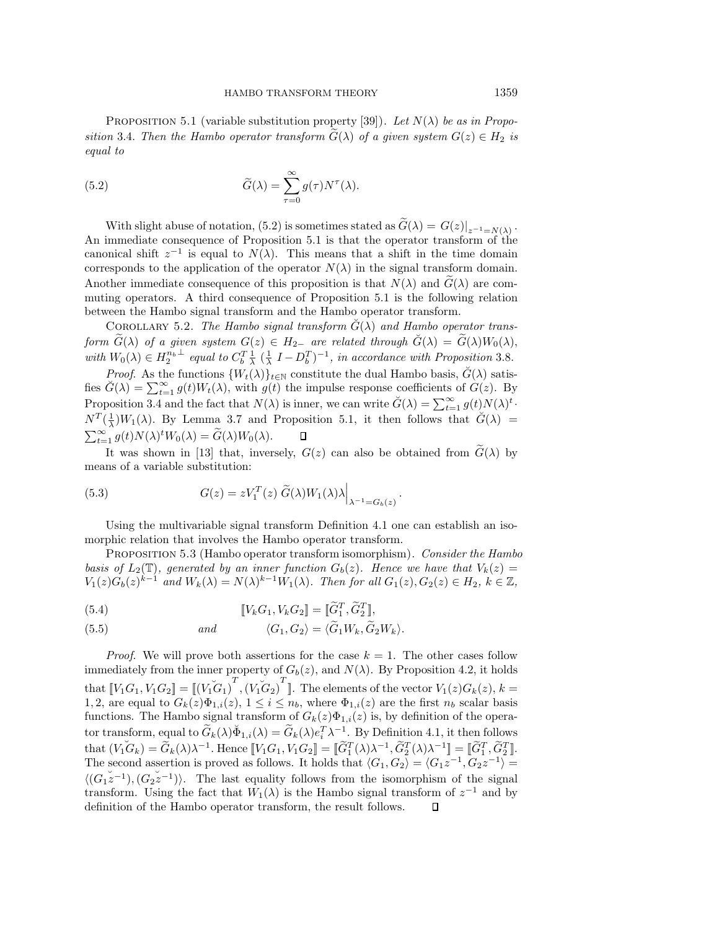PROPOSITION 5.1 (variable substitution property [39]). Let  $N(\lambda)$  be as in Propo-Sition 3.4. Then the Hambo operator transform  $\widetilde{G}(\lambda)$  of a given system  $G(z) \in H_2$  is<br>tion 3.4. Then the Hambo operator transform  $\widetilde{G}(\lambda)$  of a given system  $G(z) \in H_2$  is equal to e substitution<br>erator trans<br> $\widetilde{G}(\lambda) = \sum_{n=1}^{\infty}$ 

(5.2) 
$$
\widetilde{G}(\lambda) = \sum_{\tau=0}^{\infty} g(\tau) N^{\tau}(\lambda).
$$

(5.2)  $\tilde{G}(\lambda) = \sum_{\tau=0}^{\infty} g(\tau) N^{\tau}(\lambda)$ .<br>
With slight abuse of notation, (5.2) is sometimes stated as  $\tilde{G}(\lambda) = G(z)|_{z^{-1} = N(\lambda)}$ .<br>
An immediate consequence of Proposition 5.1 is that the operator transform of the<br>
cano An immediate consequence of Proposition 5.1 is that the operator transform of the canonical shift  $z^{-1}$  is equal to  $N(\lambda)$ . This means that a shift in the time domain corresponds to the application of the operator  $N(\lambda)$  in the signal transform domain. muting operators. A third consequence of Proposition 5.1 is the following relation between the Hambo signal transform and the Hambo operator transform. Another immediate consequence of this proposition is that  $N(\lambda)$  and  $\tilde{G}(\lambda)$  are commuting operators. A third consequence of Proposition 5.1 is the following relation between the Hambo signal transform and the Hambo o

COROLLARY 5.2. The Hambo signal transform  $G(\lambda)$  and Hambo operator transwith  $W_0(\lambda) \in H_2^{n_b \perp}$  equal to  $C_b^T \frac{1}{\lambda} (\frac{1}{\lambda} I - D_b^T)^{-1}$ , in accordance with Proposition 3.8. COROLLAF<br>form  $\widetilde{G}(\lambda)$  of<br>with  $W_0(\lambda) \in I$ <br>Proof. As<br>fies  $\widetilde{G}(\lambda) = \sum$ 

*Proof.* As the functions  $\{W_t(\lambda)\}_{t\in\mathbb{N}}$  constitute the dual Hambo basis,  $\check{G}(\lambda)$  satis- $\sum_{t=1}^{\infty} g(t)W_t(\lambda)$ , with  $g(t)$  the impulse response coefficients of  $G(z)$ . By form  $\widetilde{G}(\lambda)$  of a given system  $G(z) \in H_{2-}$  are related through  $\widetilde{G}(\lambda)$  is with  $W_0(\lambda) \in H_2^{n_b \perp}$  equal to  $C_b^T \frac{1}{\lambda} (\frac{1}{\lambda} I - D_b^T)^{-1}$ , in accordance with Proposition 3.4 and the fact that  $N(\lambda)$  is inne  $\sum_{t=1}^{\infty} g(t)N(\lambda)^t$ .  $N^{T}(\frac{1}{\lambda})W_{1}(\lambda)$ . By Lemma 3.7 and Proposition 5.1, it then follows that  $\check{G}(\lambda) = \sum_{\lambda} \chi_{\lambda}(\lambda) \chi_{\lambda}(\lambda)$  $\sum_{t=1}^{\infty} g(t)N(\lambda)^t$ he functions  $\{W_t(\lambda)\}_t$ <br>  $\sum_{t=1}^{\infty} g(t)W_t(\lambda)$ , with  $g(t)$ <br>
and the fact that  $N(\lambda)$ <br>  $W_0(\lambda) = \widetilde{G}(\lambda)W_0(\lambda)$ .  $G(\lambda) = \sum_{t=1}^{\infty} g(t)W_t(\lambda)$ , with  $g(t)$  the impulse response coefficients of  $G(z)$ . By obtained  $3.4$  and the fact that  $N(\lambda)$  is inner, we can write  $\tilde{G}(\lambda) = \sum_{t=1}^{\infty} g(t)N(\lambda)^t \cdot \frac{1}{\lambda}W_1(\lambda)$ . By Lemma 3.7 and Prop

means of a variable substitution:  $\mathcal{L}_{-1} g(t) N(\lambda)^t W_0(\lambda) = G(\lambda) W_0(\lambda).$   $\square$ <br>It was shown in [13] that, inversely,  $G(z)$  can also be obtained from  $\widetilde{G}(\lambda)$  by

(5.3) 
$$
G(z) = zV_1^T(z) \tilde{G}(\lambda)W_1(\lambda)\lambda \Big|_{\lambda^{-1} = G_b(z)}.
$$

Using the multivariable signal transform Definition 4.1 one can establish an isomorphic relation that involves the Hambo operator transform.

PROPOSITION 5.3 (Hambo operator transform isomorphism). Consider the Hambo basis of  $L_2(\mathbb{T})$ , generated by an inner function  $G_b(z)$ . Hence we have that  $V_k(z)$  $V_1(z)G_b(z)^{k-1}$  and  $W_k(\lambda) = N(\lambda)^{k-1}W_1(\lambda)$ . Then for all  $G_1(z), G_2(z) \in H_2$ ,  $k \in \mathbb{Z}$ , operator transform isom<br>
n inner function  $G_b(z)$ .<br>  $[(\lambda)^{k-1}W_1(\lambda)$ . Then for<br>  $[[V_kG_1, V_kG_2] = [\tilde{G}_1^T, \tilde{G}_2^T]$ basis of  $L_2(\mathbb{T})$ , generated by an inner function  $G_b(z)$ . Hence<br>  $V_1(z)G_b(z)^{k-1}$  and  $W_k(\lambda) = N(\lambda)^{k-1}W_1(\lambda)$ . Then for all  $G_1(z)$ <br>
(5.4)  $\llbracket V_k G_1, V_k G_2 \rrbracket = \llbracket \tilde{G}_1^T, \tilde{G}_2^T \rrbracket$ ,<br>
(5.5) and  $\langle G_1, G_2 \rangle = \langle \tilde$ 

(5.4) 
$$
\llbracket V_k G_1, V_k G_2 \rrbracket = \llbracket \widetilde{G}_1^T, \widetilde{G}_2^T \rrbracket,
$$

(5.5) and 
$$
\langle G_1, G_2 \rangle = \langle \widetilde{G}_1 W_k, \widetilde{G}_2 W_k \rangle.
$$

*Proof.* We will prove both assertions for the case  $k = 1$ . The other cases follow immediately from the inner property of  $G_b(z)$ , and  $N(\lambda)$ . By Proposition 4.2, it holds that  $[[V_1G_1, V_1G_2]] = [[(V_1G_1)^T, (V_1G_2)^T]$ . The elements of the vector  $V_1(z)G_k(z)$ ,  $k =$ 1, 2, are equal to  $G_k(z)\Phi_{1,i}(z), 1 \leq i \leq n_b$ , where  $\Phi_{1,i}(z)$  are the first  $n_b$  scalar basis functions. The Hambo signal transform of  $G_k(z)\Phi_{1,i}(z)$  is, by definition of the operaimmediately from the inner property of  $G_b(z)$ , a<br>that  $[\![V_1G_1, V_1G_2]\!] = [\![ (V_1G_1)^T, (V_1G_2)^T \!]$ . The  $\epsilon$ <br>1, 2, are equal to  $G_k(z)\Phi_{1,i}(z)$ ,  $1 \leq i \leq n_b$ , whe<br>functions. The Hambo signal transform of  $G_k(z)$ <br>tor transform tor transform, equal to  $\widetilde{G}_k(\lambda)\check{\Phi}_{1,i}(\lambda) = \widetilde{G}_k(\lambda)e_i^T\lambda^{-1}$ . By Definition 4.1, it then follows that  $[\![V_1G_1, V_1G_2]\!] = [\![(V_1G_1)^T, (V_1G_2)^T]\!]$ . The elements of the vector  $V_1(z)G_k(z)$ ,  $k$ <br>1, 2, are equal to  $G_k(z)\Phi_{1,i}(z)$ ,  $1 \leq i \leq n_b$ , where  $\Phi_{1,i}(z)$  are the first  $n_b$  scalar bas<br>functions. The Hambo signal tran  $\frac{1}{2}$ ]. The second assertion is proved as follows. It holds that  $\langle G_1, G_2 \rangle = \langle G_1 z^{-1}, G_2 z^{-1} \rangle =$  $\langle (G_1 \check{z}^{-1}), (G_2 \check{z}^{-1}) \rangle$ . The last equality follows from the isomorphism of the signal transform. Using the fact that  $W_1(\lambda)$  is the Hambo signal transform of  $z^{-1}$  and by definition of the Hambo operator transform, the result follows.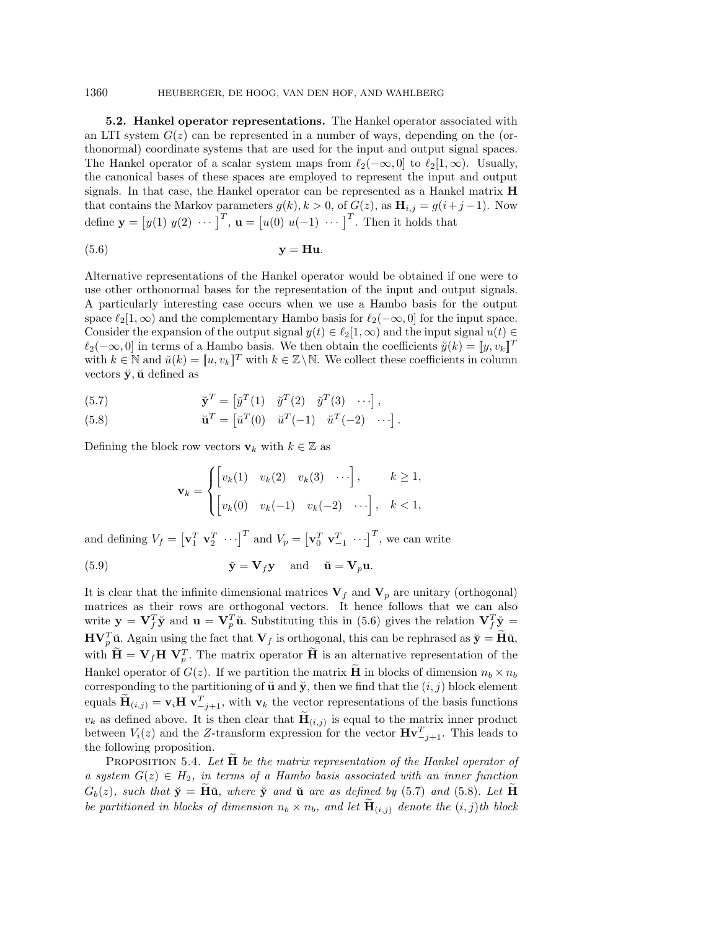## 1360 HEUBERGER, DE HOOG, VAN DEN HOF, AND WAHLBERG

**5.2. Hankel operator representations.** The Hankel operator associated with an LTI system  $G(z)$  can be represented in a number of ways, depending on the (orthonormal) coordinate systems that are used for the input and output signal spaces. The Hankel operator of a scalar system maps from  $\ell_2(-\infty,0]$  to  $\ell_2[1,\infty)$ . Usually, the canonical bases of these spaces are employed to represent the input and output signals. In that case, the Hankel operator can be represented as a Hankel matrix **H** that contains the Markov parameters  $g(k)$ ,  $k > 0$ , of  $G(z)$ , as  $\mathbf{H}_{i,j} = g(i+j-1)$ . Now thonormal)<br>The Hankel<br>the canonica<br>signals. In t<br>that contain<br>define  $\mathbf{y} = \begin{bmatrix} \end{bmatrix}$ coordinate systems tha<br>operator of a scalar sy<br>al bases of these spaces<br>that case, the Hankel of<br>s the Markov paramete<br> $y(1) y(2) \cdots$   $\begin{bmatrix} T \\ T \end{bmatrix}$ ,  $\mathbf{u} = \begin{bmatrix} 0 \\ 0 \\ 0 \end{bmatrix}$ ut are used for the input and output sit wistem maps from  $\ell_2(-\infty, 0]$  to  $\ell_2[1, \infty)$ ; are employed to represent the input perator can be represented as a Hank rs  $g(k), k > 0$ , of  $G(z)$ , as  $\mathbf{H}_{i,j} = g(i+u(0) u(-1) \cdots)^T$ .

$$
y = Hu.
$$

Alternative representations of the Hankel operator would be obtained if one were to use other orthonormal bases for the representation of the input and output signals. A particularly interesting case occurs when we use a Hambo basis for the output space  $\ell_2[1,\infty)$  and the complementary Hambo basis for  $\ell_2(-\infty,0]$  for the input space. Consider the expansion of the output signal  $y(t) \in \ell_2[1,\infty)$  and the input signal  $u(t) \in$  $\ell_2(-\infty,0]$  in terms of a Hambo basis. We then obtain the coefficients  $\ddot{y}(k) = [y, v_k]^T$ with  $k \in \mathbb{N}$  and  $\breve{u}(k) = [u, v_k]^T$  with  $k \in \mathbb{Z} \backslash \mathbb{N}$ . We collect these coefficients in column vectors  $\check{y}$ ,  $\check{u}$  defined as Consider the expansion of the output signal  $y(t) \in \ell_2[1, \infty)$ <br>  $\ell_2(-\infty, 0]$  in terms of a Hambo basis. We then obtain the<br>
with  $k \in \mathbb{N}$  and  $\check{u}(k) = [u, v_k]^T$  with  $k \in \mathbb{Z} \backslash \mathbb{N}$ . We collect<br>
vectors **y**, **u**  $u_2(\infty, 0]$  in terms of a Hambo basis. We then obtain the coen<br>
with  $k \in \mathbb{N}$  and  $\check{u}(k) = [u, v_k]^T$  with  $k \in \mathbb{Z} \backslash \mathbb{N}$ . We collect thes<br>
vectors **y**̆, **ŭ** defined as<br>
(5.7)  $\check{y}^T = [\check{y}^T(1) \ \check{y}^T(2) \ \check{y}$ 

(5.7) 
$$
\dot{\mathbf{y}}^T = \begin{bmatrix} \ddot{y}^T(1) & \ddot{y}^T(2) & \ddot{y}^T(3) & \cdots \end{bmatrix},
$$

(5.7) 
$$
\dot{\mathbf{y}}^T = [\dot{y}^T(1) \quad \dot{y}^T(2) \quad \dot{y}^T(3) \quad \cdots],
$$
  
(5.8) 
$$
\dot{\mathbf{u}}^T = [\ddot{u}^T(0) \quad \ddot{u}^T(-1) \quad \ddot{u}^T(-2) \quad \cdots].
$$
  
Defining the block row vectors  $\mathbf{v}_k$  with  $k \in \mathbb{Z}$  as  

$$
\left( v_k(1) \quad v_k(2) \quad v_k(3) \quad \cdots \right], \qquad k
$$

Defining the block row vectors **v**<sub>k</sub> with  $k \in \mathbb{Z}$  as

$$
\mathbf{v}_k = \begin{cases}\n\begin{bmatrix}\nv_k & \text{with } k \in \mathbb{Z} \text{ as} \\
v_k(1) & v_k(2) & v_k(3) & \cdots\n\end{bmatrix}, & k \ge 1, \\
\begin{bmatrix}\nv_k(0) & v_k(-1) & v_k(-2) & \cdots\n\end{bmatrix}, & k < 1, \\
\begin{bmatrix}\n\mathbf{v}_1^T & \mathbf{v}_2^T & \cdots\n\end{bmatrix}^T & \text{and } V_p = \begin{bmatrix}\n\mathbf{v}_0^T & \mathbf{v}_{-1}^T & \cdots\n\end{bmatrix}^T, \text{ we can write}\n\end{cases}
$$

 $$\mathbf v$$  and defining  $V_f = \left[$ 

(5.9) 
$$
\breve{\mathbf{y}} = \mathbf{V}_f \mathbf{y} \text{ and } \breve{\mathbf{u}} = \mathbf{V}_p \mathbf{u}.
$$

It is clear that the infinite dimensional matrices  $V_f$  and  $V_p$  are unitary (orthogonal) matrices as their rows are orthogonal vectors. It hence follows that we can also write  $\mathbf{y} = \mathbf{V}_f^T \tilde{\mathbf{y}}$  and  $\mathbf{u} = \mathbf{V}_p^T \tilde{\mathbf{u}}$ . Substituting this in (5.6) gives the relation  $\mathbf{V}_f^T \tilde{\mathbf{y}} =$  $\mathbf{HV}_{p}^{T}\ddot{\mathbf{u}}$ . Again using the fact that  $\mathbf{V}_{f}$  is orthogonal, this can be rephrased as  $\ddot{\mathbf{y}} = \widetilde{\mathbf{H}}\ddot{\mathbf{u}}$ , clear that the infinite dimensional matrices  $\mathbf{V}_f$  and  $\mathbf{V}_p$  are unitary (orthogonal) rices as their rows are orthogonal vectors. It hence follows that we can also e  $\mathbf{y} = \mathbf{V}_f^T \check{\mathbf{y}}$  and  $\mathbf{u} = \mathbf{V}_p^$ It is clear that the infinite dimensional matrices  $V_f$  and  $V_p$  are unitary (orthogonal)<br>matrices as their rows are orthogonal vectors. It hence follows that we can also<br>write  $\mathbf{y} = \mathbf{V}_f^T \tilde{\mathbf{y}}$  and  $\mathbf{u} = \mathbf{$ matrices as their rows are orthogonal vectors. It hence tollows that we can also<br>write  $\mathbf{y} = \mathbf{V}_f^T \mathbf{\check{y}}$  and  $\mathbf{u} = \mathbf{V}_p^T \mathbf{\check{u}}$ . Substituting this in (5.6) gives the relation  $\mathbf{V}_f^T \mathbf{\check{y}} = \mathbf{HV}_p^T \$ corresponding to the partitioning of  $\mathbf{\check{u}}$  and  $\mathbf{\check{y}}$ , then we find that the  $(i, j)$  block element **HV**<sup>T</sup><sub>L</sub><sup>T</sup>**u**. Again using the fact that  $V_f$  is orthogonal, this can be rephrased as  $\check{y} = H\check{u}$ , with  $\widetilde{H} = V_f H V_f^T$ . The matrix operator  $\widetilde{H}$  is an alternative representation of the Hankel operator of  $G(z$ with  $\mathbf{H} = \mathbf{V}_f \mathbf{H} \mathbf{V}_p^T$ . The matrix operator  $\mathbf{H}$  is an alternative representation of the<br>Hankel operator of  $G(z)$ . If we partition the matrix  $\tilde{\mathbf{H}}$  in blocks of dimension  $n_b \times n_b$ <br>corresponding to the following proposition. als  $\widetilde{\mathbf{H}}_{(i,j)} = \mathbf{v}_i \mathbf{H} \mathbf{v}_{-j+1}^T$ , with  $\mathbf{v}_k$  the vector representations of the basis functions s defined above. It is then clear that  $\widetilde{\mathbf{H}}_{(i,j)}$  is equal to the matrix inner product veen  $V_i(z)$ 

between  $V_i(z)$  and the Z-transform expression for the vector  $\mathbf{Hv}_{-j+1}^T$ . This leads to<br>the following proposition.<br>PROPOSITION 5.4. Let  $\tilde{\mathbf{H}}$  be the matrix representation of the Hankel operator of<br>a system  $G(z)$ a system  $G(z) \in H_2$ , in terms of a Hambo basis associated with an inner function PROPOSITION 5.4. Let  $\tilde{H}$  be the matrix representation of the Hankel operator of a system  $G(z) \in H_2$ , in terms of a Hambo basis associated with an inner function  $G_b(z)$ , such that  $\check{y} = \tilde{H}\check{u}$ , where  $\check{y}$  and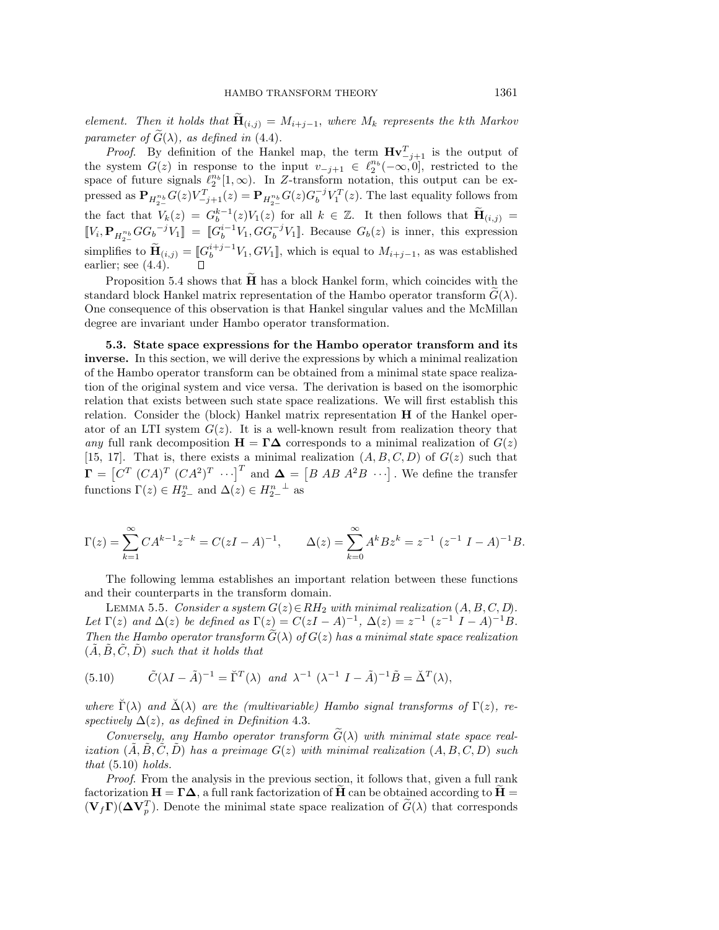element. Then it holds that  $\mathbf{H}_{(i,j)} = M_{i+j-1}$ , where  $M_k$  represents the kth Markov parameter of  $\tilde{G}(\lambda)$ , as defined in (4.4).

*Proof.* By definition of the Hankel map, the term  $\mathbf{Hv}^T_{-j+1}$  is the output of the system  $G(z)$  in response to the input  $v_{-j+1} \in \ell_2^{n_b}(-\infty, 0]$ , restricted to the space of future signals  $\ell_2^{n_b}[1,\infty)$ . In Z-transform notation, this output can be expressed as  $\mathbf{P}_{H_{2-}^{n_b}}G(z)V_{-j+1}^T(z) = \mathbf{P}_{H_{2-}^{n_b}}G(z)G_b^{-j}V_1^T(z)$ . The last equality follows from the fact that  $V_k(z) = G_b^{k-1}(z)V_1(z)$  for all  $k \in \mathbb{Z}$ . It then follows that  $\widetilde{\mathbf{H}}_{(i,j)} =$ of the Hankel map, the term  $\mathbf{H} \mathbf{v}_{-j+1}^T$  is the output of onse to the input  $v_{-j+1} \in \ell_2^{n_b}(-\infty, 0]$ , restricted to the  $[1,\infty)$ . In Z-transform notation, this output can be ex-<br> $v_{-1}(z) = \mathbf{P}_{H_2^{n_b}} G(z) G_b^{-j} V$  $[V_i, \mathbf{P}_{H_2^{n_b}}GG_b^{-j}V_1] = [G_b^{i-1}V_1, GG_b^{-j}V_1]$ . Because  $G_b(z)$  is inner, this expression  $\begin{split} \mathbb{P}_{H^{n_b}_{2}} G(z) V^T_{-j+1}(z), \ \text{the fact that } V_k(z) = G^{k-1}_b (V_i, \mathbf{P}_{H^{n_b}_{2}} G G_b^{-j} V_1] = [G^{i-1}_b] \ \text{simplices to } \widetilde{\mathbf{H}}_{(i,j)} = [G^{i+j-1}_b] \end{split}$  $b_b^{i+j-1}V_1, GV_1],$  which is equal to  $M_{i+j-1}$ , as was established earlier; see (4.4). fact that  $V_k(z) = G_b^{n-1}(z)V_1(z)$  for all  $k \in \mathbb{Z}$ . It then follows that  $\mathbf{H}_{(i,j)} = \mathbf{P}_{H_2^{n_b}}GG_b^{-j}V_1 \mathbb{I} = [G_b^{i-1}V_1, GG_b^{-j}V_1]$ . Because  $G_b(z)$  is inner, this expression blifies to  $\widetilde{\mathbf{H}}_{(i,j)} = [G_b^{i+j-1}V_1, GV_$  $[V_i, \mathbf{P}_{H_2^{n_b}}GG_b^{-j}V_1] = [G_b^{i-1}V_1, GG_b^{-j}V_1]$ . Because  $G_b(z)$  is inner, this expression<br>simplifies to  $\widetilde{\mathbf{H}}_{(i,j)} = [G_b^{i+j-1}V_1, GV_1]$ , which is equal to  $M_{i+j-1}$ , as was established<br>earlier; see (4.4).  $\square$ <br>Propo

One consequence of this observation is that Hankel singular values and the McMillan degree are invariant under Hambo operator transformation.

**5.3. State space expressions for the Hambo operator transform and its inverse.** In this section, we will derive the expressions by which a minimal realization of the Hambo operator transform can be obtained from a minimal state space realization of the original system and vice versa. The derivation is based on the isomorphic relation that exists between such state space realizations. We will first establish this relation. Consider the (block) Hankel matrix representation **H** of the Hankel operator of an LTI system  $G(z)$ . It is a well-known result from realization theory that any full rank decomposition  $\mathbf{H} = \mathbf{\Gamma} \mathbf{\Delta}$  corresponds to a minimal realization of  $G(z)$ [15, 17]. That is, there exists a minimal realization  $(A, B, C, D)$  of  $G(z)$  such that **relatic**<br>relatic<br>ator o<br>*any* fi<br>[15, 1'<br>**Γ** = [ on. Consider the (block) Hankel matrix<br>f an LTI system  $G(z)$ . It is a well-kindler rank decomposition  $\mathbf{H} = \mathbf{\Gamma} \mathbf{\Delta}$  correction  $\mathbf{H} = \mathbf{\Gamma} \mathbf{\Delta}$  correction  $\mathbf{H} = \mathbf{\Gamma} \mathbf{\Delta}$  correction  $C^T$  (CA)<sup>T</sup> (CA<sup>2</sup> e realizations. We will first establish this<br>ix representation **H** of the Hankel oper-<br>nown result from realization theory that<br>esponds to a minimal realization of  $G(z)$ <br>realization  $(A, B, C, D)$  of  $G(z)$  such that<br> $B \overline{AB} \$ functions  $\Gamma(z) \in H_{2-}^n$  and  $\Delta(z) \in H_{2-}^{n-1}$  as  $\Gamma = \begin{bmatrix} C^T & (CA)^T & (CA^2)^T & \cdots \end{bmatrix}^T$  and  $\Delta = \begin{bmatrix} B & AB & A^2B \end{bmatrix}$ <br>functions  $\Gamma(z) \in H_{2-}^n$  and  $\Delta(z) \in H_{2-}^n^{\perp}$  as<br> $\Gamma(z) = \sum_{r=0}^{\infty} CA^{k-1}z^{-k} = C(zI - A)^{-1}, \qquad \Delta(z) = \sum_{r=0}^{\infty}$ 

$$
\Gamma(z) = \sum_{k=1}^{\infty} C A^{k-1} z^{-k} = C(zI - A)^{-1}, \qquad \Delta(z) = \sum_{k=0}^{\infty} A^k B z^k = z^{-1} (z^{-1} I - A)^{-1} B.
$$

The following lemma establishes an important relation between these functions and their counterparts in the transform domain.

LEMMA 5.5. Consider a system  $G(z) \in RH_2$  with minimal realization  $(A, B, C, D)$ . Let  $\Gamma(z)$  and  $\Delta(z)$  be defined as  $\Gamma(z) = C(zI - A)^{-1}$ ,  $\Delta(z) = z^{-1} (z^{-1} I - A)^{-1} B$ . Then the Hambo operator transform  $\widetilde{G}(\lambda)$  of  $G(z)$  has a minimal state space realization  $(\tilde{A}, \tilde{B}, \tilde{C}, \tilde{D})$  such that it holds that

(5.10) 
$$
\tilde{C}(\lambda I - \tilde{A})^{-1} = \check{\Gamma}^{T}(\lambda) \quad and \quad \lambda^{-1} (\lambda^{-1} I - \tilde{A})^{-1} \tilde{B} = \check{\Delta}^{T}(\lambda),
$$

where  $\check{\Gamma}(\lambda)$  and  $\check{\Delta}(\lambda)$  are the (multivariable) Hambo signal transforms of  $\Gamma(z)$ , respectively  $\Delta(z)$ , as defined in Definition 4.3. (b)  $\tilde{C}(\lambda I - \tilde{A})^{-1} = \check{\Gamma}^T(\lambda)$  and  $\lambda^{-1} (\lambda^{-1} I - \tilde{A})^{-1} \tilde{B} = \check{\Delta}^T(\lambda)$ ,<br>
For  $\check{\Gamma}(\lambda)$  and  $\check{\Delta}(\lambda)$  are the (multivariable) Hambo signal transforms of  $\Gamma(z)$ , retively  $\Delta(z)$ , as defined in Definition 4.3.<br>

ization  $(\tilde{A}, \tilde{B}, \tilde{C}, \tilde{D})$  has a preimage  $G(z)$  with minimal realization  $(A, B, C, D)$  such that  $(5.10)$  holds. *Conversely, any Hambo operator transform*  $\tilde{G}(\lambda)$  *with minimal state space realization*  $(\tilde{A}, \tilde{B}, \tilde{C}, \tilde{D})$  has a preimage  $G(z)$  *with minimal realization*  $(A, B, C, D)$  *such that* (5.10) *holds.*<br>*Proof.* From

Proof. From the analysis in the previous section, it follows that, given a full rank *ization*  $(\tilde{A}, \tilde{B}, \tilde{C}, \tilde{D})$  has a preimage  $G(z)$  with minimal realization  $(A, B, C, D)$  such that (5.10) holds.<br>*Proof.* From the analysis in the previous section, it follows that, given a full rank factorization  $\$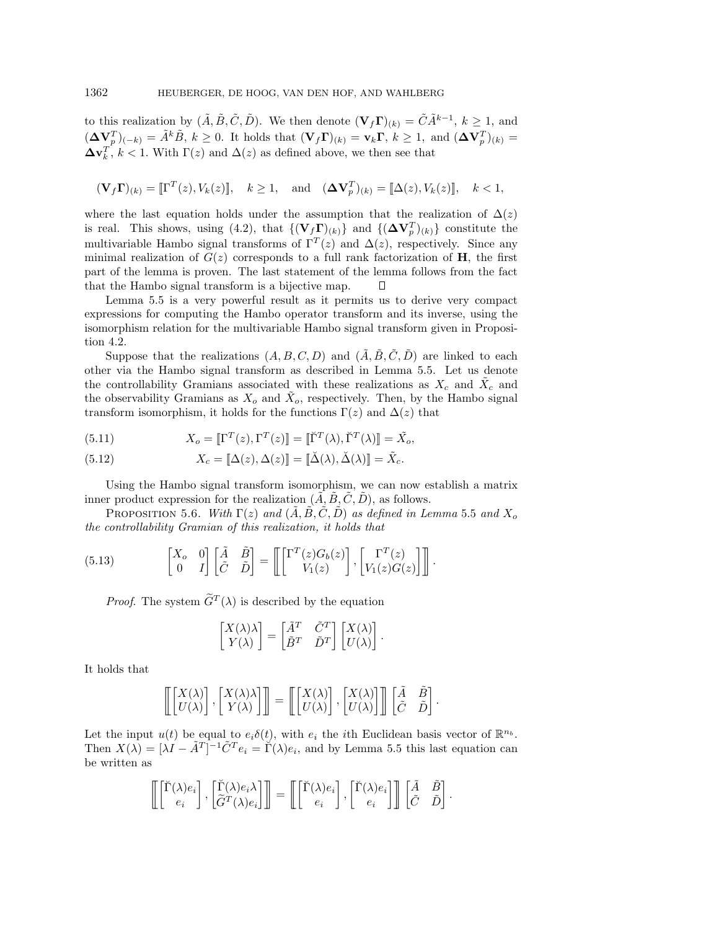to this realization by  $(\tilde{A}, \tilde{B}, \tilde{C}, \tilde{D})$ . We then denote  $(\mathbf{V}_f \mathbf{\Gamma})_{(k)} = \tilde{C} \tilde{A}^{k-1}, k \geq 1$ , and  $(\boldsymbol{\Delta} \mathbf{V}^T_p)_{(-k)} = \tilde{A}^k \tilde{B}, k \geq 0$ . It holds that  $(\mathbf{V}_f \mathbf{\Gamma})_{(k)} = \mathbf{v}_k \mathbf{\Gamma}, k \geq 1$ , and  $(\boldsymbol{\Delta} \mathbf{V}^T_p)_{(k)} =$  $\Delta \mathbf{v}_k^T$ ,  $k < 1$ . With  $\Gamma(z)$  and  $\Delta(z)$  as defined above, we then see that

$$
(\mathbf{V}_f \mathbf{\Gamma})_{(k)} = [\![\Gamma^T(z), V_k(z)]\!], \quad k \ge 1, \quad \text{and} \quad (\mathbf{\Delta} \mathbf{V}_p^T)_{(k)} = [\![\Delta(z), V_k(z)]\!], \quad k < 1,
$$

where the last equation holds under the assumption that the realization of  $\Delta(z)$ is real. This shows, using (4.2), that  ${(\mathbf{V}_f \mathbf{\Gamma})_{(k)}}$  and  ${(\mathbf{\Delta V}_p^T)_{(k)}}$  constitute the multivariable Hambo signal transforms of  $\Gamma^{T}(z)$  and  $\Delta(z)$ , respectively. Since any minimal realization of  $G(z)$  corresponds to a full rank factorization of **H**, the first part of the lemma is proven. The last statement of the lemma follows from the fact that the Hambo signal transform is a bijective map.  $\Box$ 

Lemma 5.5 is a very powerful result as it permits us to derive very compact expressions for computing the Hambo operator transform and its inverse, using the isomorphism relation for the multivariable Hambo signal transform given in Proposition 4.2.

Suppose that the realizations  $(A, B, C, D)$  and  $(\tilde{A}, \tilde{B}, \tilde{C}, \tilde{D})$  are linked to each other via the Hambo signal transform as described in Lemma 5.5. Let us denote the controllability Gramians associated with these realizations as  $X_c$  and  $X_c$  and the observability Gramians as  $X_o$  and  $X_o$ , respectively. Then, by the Hambo signal transform isomorphism, it holds for the functions  $\Gamma(z)$  and  $\Delta(z)$  that

(5.11) 
$$
X_o = [\![\Gamma^T(z), \Gamma^T(z)]\!] = [\![\check{\Gamma}^T(\lambda), \check{\Gamma}^T(\lambda)]\!] = \tilde{X}_o,
$$

(5.12) 
$$
X_c = [\![\Delta(z), \Delta(z)]\!] = [\![\check{\Delta}(\lambda), \check{\Delta}(\lambda)]\!] = \tilde{X}_c.
$$

Using the Hambo signal transform isomorphism, we can now establish a matrix inner product expression for the realization  $(\tilde{A}, \tilde{B}, \tilde{C}, \tilde{D})$ , as follows. ign<br>n f<br>*W*<br>*ian* 

PROPOSITION 5.6. With  $\Gamma(z)$  and  $(\tilde{A}, \tilde{B}, \tilde{C}, \tilde{D})$  as defined in Lemma 5.5 and  $X_o$ the controllability Gramian of this realization, it holds that

(5.13) 
$$
\begin{bmatrix} X_o & 0 \ 0 & I \end{bmatrix} \begin{bmatrix} \tilde{A} & \tilde{B} \\ \tilde{C} & \tilde{D} \end{bmatrix} = \left[ \begin{bmatrix} \Gamma^T(z)G_b(z) \\ V_1(z) \end{bmatrix}, \begin{bmatrix} \Gamma^T(z) \\ V_1(z)G(z) \end{bmatrix} \right].
$$
*Proof.* The system  $\tilde{G}^T(\lambda)$  is described by the equation

$$
\begin{bmatrix} X(\lambda)\lambda \\ Y(\lambda) \end{bmatrix} = \begin{bmatrix} \tilde{A}^T & \tilde{C}^T \\ \tilde{B}^T & \tilde{D}^T \end{bmatrix} \begin{bmatrix} X(\lambda) \\ U(\lambda) \end{bmatrix}.
$$

It holds that

$$
\left[\begin{bmatrix} X(\lambda) \\ U(\lambda) \end{bmatrix}, \begin{bmatrix} X(\lambda)\lambda \\ Y(\lambda) \end{bmatrix}\right] = \left[\begin{bmatrix} X(\lambda) \\ U(\lambda) \end{bmatrix}, \begin{bmatrix} X(\lambda) \\ U(\lambda) \end{bmatrix}\right] \left[\begin{bmatrix} \tilde{A} & \tilde{B} \\ \tilde{C} & \tilde{D} \end{bmatrix}.
$$

Let the input  $u(t)$  be equal to  $e_i\delta(t)$ , with  $e_i$  the *i*th Euclidean basis vector of  $\mathbb{R}^{n_b}$ . Let the input  $u(t)$  be equal to  $e_i o(t)$ , with  $e_i$  the till Euclidean basis vector of  $\mathbb{R}^{\infty}$ .<br>
Then  $X(\lambda) = [\lambda I - \tilde{A}^T]^{-1} \tilde{C}^T e_i = \Gamma(\lambda) e_i$ , and by Lemma 5.5 this last equation can<br>
be written as<br>  $\left[ \begin{bmatrix} \tilde{\Gamma$ be written as  $\frac{1}{3.5}$ 

$$
\left[\!\!\left[ \begin{matrix} \check{\Gamma}(\lambda)e_i \\ e_i \end{matrix} \right], \begin{bmatrix} \check{\Gamma}(\lambda)e_i \lambda \\ \tilde{G}^T(\lambda)e_i \end{bmatrix} \right]\!\!\right] = \left[\!\!\left[ \begin{matrix} \check{\Gamma}(\lambda)e_i \\ e_i \end{matrix} \right], \begin{bmatrix} \check{\Gamma}(\lambda)e_i \\ e_i \end{bmatrix} \right]\!\!\right] \left[\begin{matrix} \tilde{A} & \tilde{B} \\ \tilde{C} & \tilde{D} \end{matrix} \right].
$$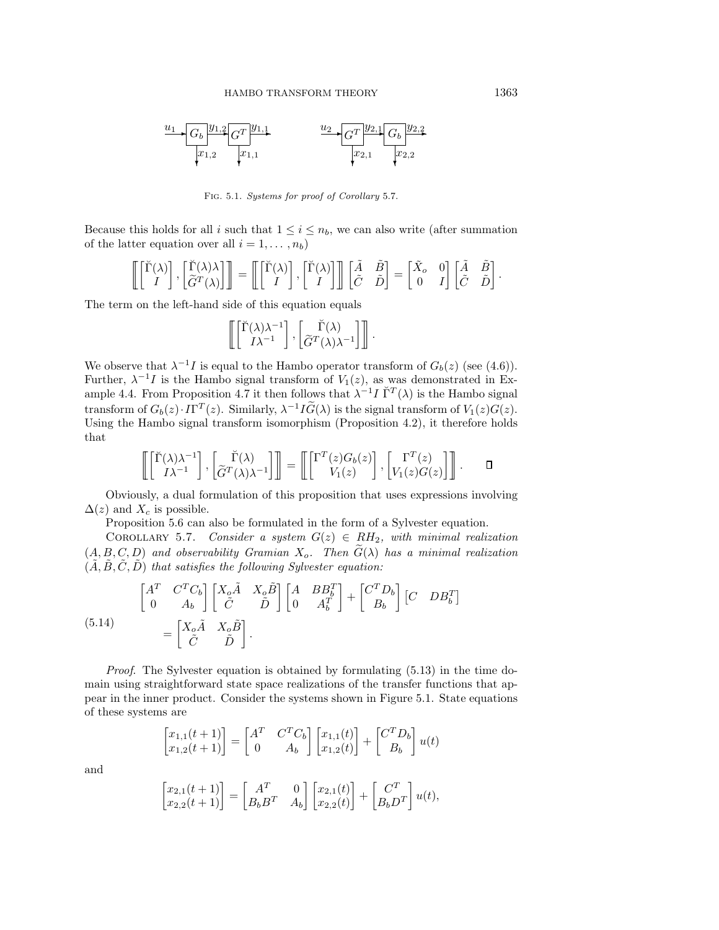

FIG. 5.1. Systems for proof of Corollary 5.7.

Because this holds for all i such that  $1 \leq i \leq n_b$ , we can also write (after summation of the latter equation over all  $i = 1, \ldots, n_b$ ) f Corollary 5.7.<br>, we can also write (after

this holds for all *i* such that 
$$
1 \leq i \leq n_b
$$
, we can also write (after summat  
ter equation over all  $i = 1, ..., n_b$ )  

$$
\left[ \begin{bmatrix} \check{\Gamma}(\lambda) \\ I \end{bmatrix}, \begin{bmatrix} \check{\Gamma}(\lambda) \\ \tilde{G}^T(\lambda) \end{bmatrix} \right] = \left[ \begin{bmatrix} \check{\Gamma}(\lambda) \\ I \end{bmatrix}, \begin{bmatrix} \check{\Gamma}(\lambda) \\ I \end{bmatrix} \right] \left[ \begin{bmatrix} \tilde{A} & \tilde{B} \\ \tilde{C} & \tilde{D} \end{bmatrix} = \begin{bmatrix} \tilde{X}_o & 0 \\ 0 & I \end{bmatrix} \begin{bmatrix} \tilde{A} & \tilde{B} \\ \tilde{C} & \tilde{D} \end{bmatrix}.
$$

The term on the left-hand side of this equation equals

$$
\begin{aligned}\n\mathbb{I} &= \mathbb{I} \left[ \begin{array}{c} \tilde{I} \end{array} \right], \begin{array}{c} \tilde{I} \end{array} \right] \mathbb{I} \left[ \tilde{C} \right] \\
\text{ide of this equation equals} \\
\mathbb{I} \left[ \begin{bmatrix} \tilde{\Gamma}(\lambda)\lambda^{-1} \\ I\lambda^{-1} \end{bmatrix}, \begin{bmatrix} \tilde{\Gamma}(\lambda) \\ \tilde{G}^T(\lambda)\lambda^{-1} \end{bmatrix} \right].\n\end{aligned}
$$

We observe that  $\lambda^{-1}I$  is equal to the Hambo operator transform of  $G_b(z)$  (see (4.6)). Further,  $\lambda^{-1}I$  is the Hambo signal transform of  $V_1(z)$ , as was demonstrated in Example 4.4. From Proposition 4.7 it then follows that  $\lambda^{-1}I\check{T}^{T}(\lambda)$  is the Hambo signal We observe that  $\lambda^{-1}I$  is equal to the Hambo operator transform of  $G_b(z)$  (see (4.6)).<br>Further,  $\lambda^{-1}I$  is the Hambo signal transform of  $V_1(z)$ , as was demonstrated in Example 4.4. From Proposition 4.7 it then follows Using the Hambo signal transform isomorphism (Proposition 4.2), it therefore holds that ). Similarl<br>ransform i $\check{\Gamma}(\lambda)$ <br> $\widetilde{G}^T(\lambda)\lambda^{-1}$ 

$$
\left[\begin{bmatrix} \breve{\Gamma}(\lambda)\lambda^{-1} \\ I\lambda^{-1} \end{bmatrix}, \begin{bmatrix} \breve{\Gamma}(\lambda) \\ \widetilde{G}^T(\lambda)\lambda^{-1} \end{bmatrix}\right] = \left[\begin{bmatrix} \Gamma^T(z)G_b(z) \\ V_1(z) \end{bmatrix}, \begin{bmatrix} \Gamma^T(z) \\ V_1(z)G(z) \end{bmatrix}\right]. \square
$$

Obviously, a dual formulation of this proposition that uses expressions involving  $\Delta(z)$  and  $X_c$  is possible.

Proposition 5.6 can also be formulated in the form of a Sylvester equation.

COROLLARY 5.7. Consider a system  $G(z) \in RH_2$ , with minimal realization (A, B, C, D) and observability Gramian X<sub>o</sub>. Then  $\tilde{G}(z)$  are minimal realization.<br>COROLLARY 5.7. Consider a system  $G(z) \in RH_2$ , with minimal realization (A, B, C, D) and observability Gramian X<sub>o</sub>. Then  $\tilde{G}(\lambda)$  has  $(\tilde{A}, \tilde{B}, \tilde{C}, \tilde{D})$  that satisfies the following Sylvester equation: a also be formulat<br> *Consider a syst*<br> *vability Gramian*<br> *ies the following* yyı<br>vitl<br>s  $\omega$  *coservability* 

$$
\begin{bmatrix}\nA^T & C^T C_b \\
0 & A_b\n\end{bmatrix}\n\begin{bmatrix}\nX_o \tilde{A} & X_o \tilde{B} \\
\tilde{C} & \tilde{D}\n\end{bmatrix}\n\begin{bmatrix}\nA & BB_b^T \\
0 & A_b^T\n\end{bmatrix} + \begin{bmatrix}\nC^T D_b \\
B_b\n\end{bmatrix}\n\begin{bmatrix}\nC & DB_b^T\n\end{bmatrix}
$$
\n(5.14)\n
$$
= \begin{bmatrix}\nX_o \tilde{A} & X_o \tilde{B} \\
\tilde{C} & \tilde{D}\n\end{bmatrix}.
$$

*Proof.* The Sylvester equation is obtained by formulating (5.13) in the time do-<br>
n using straightforward state space realizations of the transfer functions that ap-<br>  $\therefore$  in the inner product. Consider the systems show main using straightforward state space realizations of the transfer functions that appear in the inner product. Consider the systems shown in Figure 5.1. State equations of these systems are

$$
\begin{bmatrix} x_{1,1}(t+1) \\ x_{1,2}(t+1) \end{bmatrix} = \begin{bmatrix} A^T & C^T C_b \\ 0 & A_b \end{bmatrix} \begin{bmatrix} x_{1,1}(t) \\ x_{1,2}(t) \end{bmatrix} + \begin{bmatrix} C^T D_b \\ B_b \end{bmatrix} u(t)
$$

$$
\begin{bmatrix} x_{2,1}(t+1) \\ x_{2,2}(t+1) \end{bmatrix} = \begin{bmatrix} A^T & 0 \\ B_b B^T & A_b \end{bmatrix} \begin{bmatrix} x_{2,1}(t) \\ x_{2,2}(t) \end{bmatrix} + \begin{bmatrix} C^T \\ B_b D^T \end{bmatrix} u(t),
$$

and

$$
\begin{bmatrix} x_{2,1}(t+1) \\ x_{2,2}(t+1) \end{bmatrix} = \begin{bmatrix} A^T & 0 \\ B_b B^T & A_b \end{bmatrix} \begin{bmatrix} x_{2,1}(t) \\ x_{2,2}(t) \end{bmatrix} + \begin{bmatrix} C^T \\ B_b D^T \end{bmatrix} u(t),
$$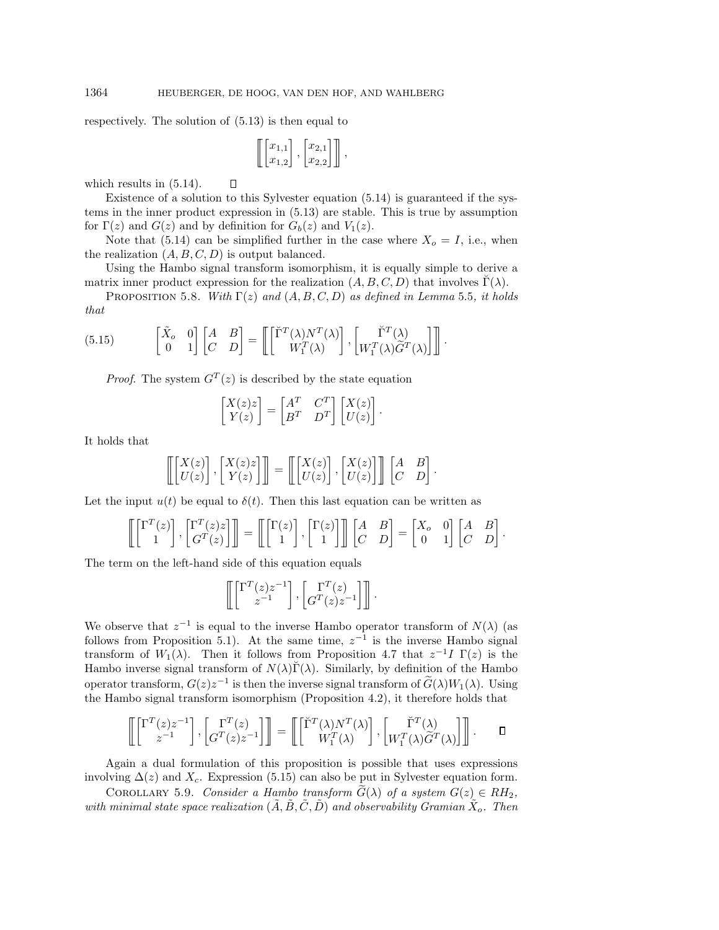respectively. The solution of (5.13) is then equal to

$$
\left[\left[\begin{matrix} x_{1,1} \\ x_{1,2} \end{matrix}\right], \left[\begin{matrix} x_{2,1} \\ x_{2,2} \end{matrix}\right]\right],
$$

which results in  $(5.14)$ .  $\Box$ 

Existence of a solution to this Sylvester equation (5.14) is guaranteed if the systems in the inner product expression in (5.13) are stable. This is true by assumption for  $\Gamma(z)$  and  $G(z)$  and by definition for  $G_b(z)$  and  $V_1(z)$ .

Note that (5.14) can be simplified further in the case where  $X_o = I$ , i.e., when the realization  $(A, B, C, D)$  is output balanced.

Using the Hambo signal transform isomorphism, it is equally simple to derive a matrix inner product expression for the realization  $(A, B, C, D)$  that involves  $\breve{\Gamma}(\lambda)$ .

that

Using the Hambo signal transform isomorphism, it is equally simple to derive a  
matrix inner product expression for the realization 
$$
(A, B, C, D)
$$
 that involves  $\tilde{\Gamma}(\lambda)$ .  
PROPOSITION 5.8. With  $\Gamma(z)$  and  $(A, B, C, D)$  as defined in Lemma 5.5, it holds  
that  

$$
(5.15) \qquad \begin{bmatrix} \tilde{X}_o & 0 \\ 0 & 1 \end{bmatrix} \begin{bmatrix} A & B \\ C & D \end{bmatrix} = \begin{bmatrix} \tilde{\Gamma}^T(\lambda) N^T(\lambda) \\ W_1^T(\lambda) \end{bmatrix}, \begin{bmatrix} \tilde{\Gamma}^T(\lambda) \\ W_1^T(\lambda) \tilde{G}^T(\lambda) \end{bmatrix} \end{bmatrix}.
$$
  
*Proof.* The system  $G^T(z)$  is described by the state equation

$$
\begin{bmatrix} X(z)z \\ Y(z) \end{bmatrix} = \begin{bmatrix} A^T & C^T \\ B^T & D^T \end{bmatrix} \begin{bmatrix} X(z) \\ U(z) \end{bmatrix}.
$$

It holds that

$$
\begin{bmatrix} X(z)z \ Y(z) \end{bmatrix} = \begin{bmatrix} A^T & C^T \ B^T & D^T \end{bmatrix} \begin{bmatrix} X(z) \ U(z) \end{bmatrix}.
$$

$$
\begin{bmatrix} \begin{bmatrix} X(z) \ U(z) \end{bmatrix}, \begin{bmatrix} X(z)z \ Y(z) \end{bmatrix} \end{bmatrix} = \begin{bmatrix} \begin{bmatrix} X(z) \ U(z) \end{bmatrix}, \begin{bmatrix} X(z) \ U(z) \end{bmatrix} \end{bmatrix} \begin{bmatrix} A & B \ C & D \end{bmatrix}.
$$

$$
\begin{bmatrix}\nX(z) \\
U(z)\n\end{bmatrix},\n\begin{bmatrix}\nX(z)z \\
Y(z)\n\end{bmatrix}\n\begin{bmatrix}\n= \n\begin{bmatrix}\nX(z) \\
U(z)\n\end{bmatrix},\n\begin{bmatrix}\nX(z) \\
U(z)\n\end{bmatrix}\n\begin{bmatrix}\nA & B \\
C & D\n\end{bmatrix}.
$$
\nLet the input  $u(t)$  be equal to  $\delta(t)$ . Then this last equation can be written as\n
$$
\begin{bmatrix}\n\begin{bmatrix}\n\Gamma^T(z) \\
1\n\end{bmatrix},\n\begin{bmatrix}\n\Gamma^T(z)z \\
G^T(z)\n\end{bmatrix}\n\begin{bmatrix}\n= \n\begin{bmatrix}\n\Gamma(z) \\
1\n\end{bmatrix},\n\begin{bmatrix}\n\Gamma(z) \\
1\n\end{bmatrix}\n\begin{bmatrix}\nA & B \\
C & D\n\end{bmatrix} =\n\begin{bmatrix}\nX_o & 0 \\
0 & 1\n\end{bmatrix}\n\begin{bmatrix}\nA & B \\
C & D\n\end{bmatrix}.
$$

.

The term on the left-hand side of this equation equals

$$
\left[\!\!\left[ \begin{matrix} \Gamma^T(z) z^{-1} \\ z^{-1} \end{matrix} \!\!\right], \begin{bmatrix} \Gamma^T(z) \\ G^T(z) z^{-1} \end{bmatrix} \right]\!\! \right].
$$

We observe that  $z^{-1}$  is equal to the inverse Hambo operator transform of  $N(\lambda)$  (as follows from Proposition 5.1). At the same time,  $z^{-1}$  is the inverse Hambo signal transform of  $W_1(\lambda)$ . Then it follows from Proposi follows from Proposition 5.1). At the same time,  $z^{-1}$  is the inverse Hambo signal transform of  $W_1(\lambda)$ . Then it follows from Proposition 4.7 that  $z^{-1}I \Gamma(z)$  is the Hambo inverse signal transform of  $N(\lambda)\tilde{\Gamma}(\lambda)$ . Similarly, by definition of the Hambo the Hambo signal transform isomorphism (Proposition 4.2), it therefore holds that operator transform,  $G(z)z^{-1}$  is then the inverse signal transform of  $\tilde{G}(\lambda)W_1(\lambda)$ . Using

$$
\begin{bmatrix} \begin{bmatrix} \Gamma^T(z)z^{-1} \\ z^{-1} \end{bmatrix}, \begin{bmatrix} \Gamma^T(z) \\ G^T(z)z^{-1} \end{bmatrix} \end{bmatrix} = \begin{bmatrix} \begin{bmatrix} \check{\Gamma}^T(\lambda)N^T(\lambda) \\ W_1^T(\lambda) \end{bmatrix}, \begin{bmatrix} \check{\Gamma}^T(\lambda) \\ W_1^T(\lambda)\check{G}^T(\lambda) \end{bmatrix} \end{bmatrix}.
$$
   
Again a dual formulation of this proposition is possible that uses expressions  
lying  $\Delta(z)$  and  $X_c$ . Expression (5.15) can also be put in Sylvester equation form.  
COROLLARY 5.9. *Consider a Hambo transform*  $\tilde{G}(\lambda)$  of a system  $G(z) \in RH_2$ ,

Again a dual formulation of this proposition is possible that uses expressions involving  $\Delta(z)$  and  $X_c$ . Expression (5.15) can also be put in Sylvester equation form.

with minimal state space realization  $(\tilde{A}, \tilde{B}, \tilde{C}, \tilde{D})$  and observability Gramian  $\tilde{X}_o$ . Then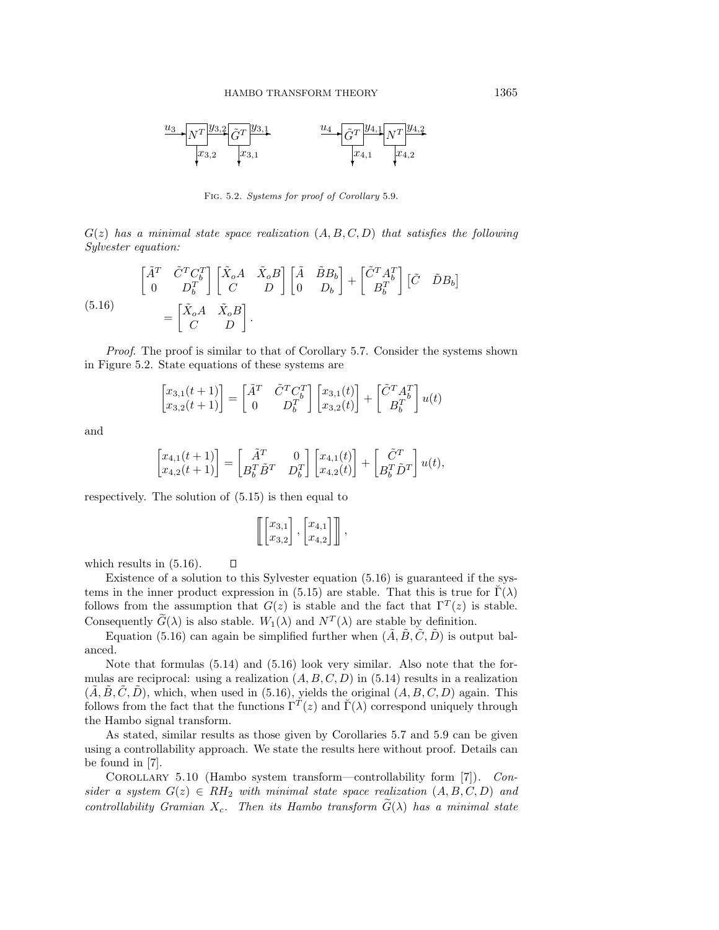

FIG. 5.2. Systems for proof of Corollary 5.9.

 $G(z)$  has a minimal state space realization  $(A, B, C, D)$  that satisfies the following  $Sylvester$  equation:  $\frac{1}{2}$ 

$$
G(z) \text{ has a minimal state space realization } (A, B, C, D) \text{ that satisfies the } \mathit{Sylwester equation:}
$$
\n
$$
\begin{bmatrix}\n\tilde{A}^T & \tilde{C}^T C_b^T \\
0 & D_b^T\n\end{bmatrix}\n\begin{bmatrix}\n\tilde{X}_o A & \tilde{X}_o B \\
C & D\n\end{bmatrix}\n\begin{bmatrix}\n\tilde{A} & \tilde{B} B_b \\
0 & D_b\n\end{bmatrix} + \n\begin{bmatrix}\n\tilde{C}^T A_b^T \\
B_b^T\n\end{bmatrix}\n\begin{bmatrix}\n\tilde{C} & \tilde{D} B_b\n\end{bmatrix}
$$
\n
$$
= \begin{bmatrix}\n\tilde{X}_o A & \tilde{X}_o B \\
C & D\n\end{bmatrix}.
$$

Proof. The proof is similar to that of Corollary 5.7. Consider the systems shown in Figure 5.2. State equations of these systems are

$$
\begin{aligned}\n&= \left[ \begin{array}{cc} C & D \end{array} \right] \cdot \\
& \text{proof is similar to that of Corollary 5.7. Consider the} \\
\text{State equations of these systems are} \\
& \left[ x_{3,1}(t+1) \right] = \left[ \begin{array}{cc} \tilde{A}^T & \tilde{C}^T C_b^T \\ 0 & D_b^T \end{array} \right] \left[ x_{3,1}(t) \right] + \left[ \begin{array}{c} \tilde{C}^T A_b^T \\ B_b^T \end{array} \right] u(t) \\
& \left[ x_{4,1}(t+1) \right] \\
& \left[ x_{4,1}(t+1) \right] = \left[ \begin{array}{cc} \tilde{A}^T & 0 \\ B_b^T \tilde{B}^T & D_b^T \end{array} \right] \left[ x_{4,1}(t) \right] + \left[ \begin{array}{cc} \tilde{C}^T \\ B_b^T \tilde{D}^T \end{array} \right] u(t)\n\end{aligned}
$$

and

$$
\begin{bmatrix} x_{4,1}(t+1) \\ x_{4,2}(t+1) \end{bmatrix} = \begin{bmatrix} \tilde{A}^T & 0 \\ B_b^T \tilde{B}^T & D_b^T \end{bmatrix} \begin{bmatrix} x_{4,1}(t) \\ x_{4,2}(t) \end{bmatrix} + \begin{bmatrix} \tilde{C}^T \\ B_b^T \tilde{D}^T \end{bmatrix} u(t),
$$

respectively. The solution of (5.15) is then equal to

$$
\left[\!\left[\begin{matrix} x_{3,1} \\ x_{3,2} \end{matrix}\right],\begin{bmatrix} x_{4,1} \\ x_{4,2} \end{bmatrix}\right],
$$

which results in  $(5.16)$ .

Existence of a solution to this Sylvester equation (5.16) is guaranteed if the systems in the inner product expression in (5.15) are stable. That this is true for  $\Gamma(\lambda)$ follows from the assumption that  $G(z)$  is stable and the fact that  $\Gamma^{T}(z)$  is stable. which results in (5.16).  $\square$ <br>Existence of a solution to this Sylvester equation (5.16) is guaranteed if<br>tems in the inner product expression in (5.15) are stable. That this is true :<br>follows from the assumption that  $G(z)$ 

Equation (5.16) can again be simplified further when  $(A, B, C, D)$  is output balanced.

Note that formulas (5.14) and (5.16) look very similar. Also note that the formulas are reciprocal: using a realization  $(A, B, C, D)$  in (5.14) results in a realization  $(\tilde{A}, \tilde{B}, \tilde{C}, \tilde{D})$ , which, when used in (5.16), yields the original  $(A, B, C, D)$  again. This follows from the fact that the functions  $\Gamma^{T}(z)$  and  $\tilde{\Gamma}(\lambda)$  correspond uniquely through the Hambo signal transform.

As stated, similar results as those given by Corollaries 5.7 and 5.9 can be given using a controllability approach. We state the results here without proof. Details can be found in [7].

COROLLARY 5.10 (Hambo system transform—controllability form [7]). Consider a system  $G(z) \in RH_2$  with minimal state space realization  $(A, B, C, D)$  and controllability Gramian  $X_c$ . Then its Hambo transform  $\widetilde{G}(\lambda)$  has a minimal state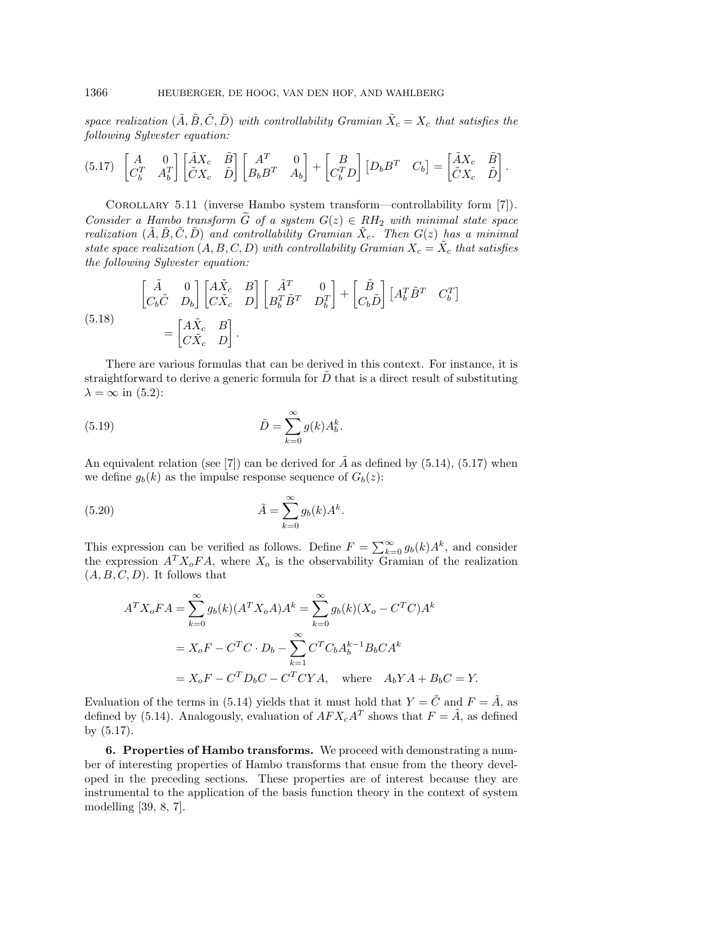space realization  $(\tilde{A}, \tilde{B}, \tilde{C}, \tilde{D})$  with controllability Gramian  $\tilde{X}_c = X_c$  that satisfies the following Sylvester equation: UBERGER, DE I<br>  $(\tilde{A}, \tilde{B}, \tilde{C}, \tilde{D})$  with  $\tilde{C}$ . Al<br>mi<br>-

(5.17) 
$$
\begin{bmatrix} A & 0 \ C_b^T & A_b^T \end{bmatrix} \begin{bmatrix} \tilde{A}X_c & \tilde{B} \\ \tilde{C}X_c & \tilde{D} \end{bmatrix} \begin{bmatrix} A^T & 0 \\ B_b B^T & A_b \end{bmatrix} + \begin{bmatrix} B \\ C_b^T D \end{bmatrix} \begin{bmatrix} D_b B^T & C_b \end{bmatrix} = \begin{bmatrix} \tilde{A}X_c & \tilde{B} \\ \tilde{C}X_c & \tilde{D} \end{bmatrix}.
$$
  
\nCOROLLARY 5.11 (inverse Hambo system transform—controllability form [7]).  
\nConsider a Hambo transform  $\tilde{G}$  of a system  $G(z) \in RH_2$  with minimal state space

Corollary 5.11 (inverse Hambo system transform—controllability form [7]). realization  $(\tilde{A}, \tilde{B}, \tilde{C}, \tilde{D})$  and controllability Gramian  $\tilde{X}_c$ . Then  $G(z)$  has a minimal state space realization  $(A, B, C, D)$  with controllability Gramian  $X_c = \tilde{X}_c$  that satisfies the following Sylvester equation:  $\begin{array}{c}\n\textit{ansform $\widetilde{G}$ of} \\
\widetilde{O} \textit{)} \textit{ and control} \\
\textit{(A, B, C, D)} \textit{ with} \\
\textit{or equation:} \end{array}$  $\frac{1}{T}$ <br> $\frac{1}{T}$ <br> $\frac{1}{T}$ 

$$
\begin{bmatrix} \tilde{A} & 0 \\ C_b \tilde{C} & D_b \end{bmatrix} \begin{bmatrix} A \tilde{X}_c & B \\ C \tilde{X}_c & D \end{bmatrix} \begin{bmatrix} \tilde{A}^T & 0 \\ B_b^T \tilde{B}^T & D_b^T \end{bmatrix} + \begin{bmatrix} \tilde{B} \\ C_b \tilde{D} \end{bmatrix} \begin{bmatrix} A_b^T \tilde{B}^T & C_b^T \end{bmatrix}
$$
  

$$
= \begin{bmatrix} A \tilde{X}_c & B \\ C \tilde{X}_c & D \end{bmatrix}.
$$

There are various formulas that can be derived in this context. For instance, it is straightforward to derive a generic formula for  $\tilde{D}$  that is a direct result of substituting  $\lambda = \infty$  in (5.2): at can be<br>formula<br> $\tilde{D} = \sum_{n=1}^{\infty}$ 

(5.19) 
$$
\tilde{D} = \sum_{k=0}^{\infty} g(k) A_b^k.
$$

An equivalent relation (see [7]) can be derived for  $\tilde{A}$  as defined by (5.14), (5.17) when we define  $g_b(k)$  as the impulse response sequence of  $G_b(z)$ :  $\overline{k} = 0$ <br>  $\overline{k} = 0$ <br>  $\overline{A} = \sum_{n=0}^{\infty}$ 

(5.20) 
$$
\tilde{A} = \sum_{k=0}^{\infty} g_b(k) A^k.
$$

we define  $g_b(k)$  as the impulse response sequence of  $G_b(z)$ :<br>
(5.20)  $\tilde{A} = \sum_{k=0}^{\infty} g_b(k) A^k$ .<br>
This expression can be verified as follows. Define  $F = \sum_{k=0}^{\infty} g_b(k) A^k$ , and consider<br>
the expression  $A^T X_o F A$ , where the expression  $A^T X_o F A$ , where  $X_o$  is the observability Gramian of the realization  $(A, B, C, D)$ . It follows that

7. (b). It follows that  
\n
$$
A^T X_o F A = \sum_{k=0}^{\infty} g_b(k) (A^T X_o A) A^k = \sum_{k=0}^{\infty} g_b(k) (X_o - C^T C) A^k
$$
\n
$$
= X_o F - C^T C \cdot D_b - \sum_{k=1}^{\infty} C^T C_b A_b^{k-1} B_b C A^k
$$
\n
$$
= X_o F - C^T D_b C - C^T C Y A, \text{ where } A_b Y A + B_b C = Y.
$$

Evaluation of the terms in (5.14) yields that it must hold that  $Y = \tilde{C}$  and  $F = \tilde{A}$ , as defined by (5.14). Analogously, evaluation of  $AFX_cA^T$  shows that  $F = \tilde{A}$ , as defined by (5.17).

**6. Properties of Hambo transforms.** We proceed with demonstrating a number of interesting properties of Hambo transforms that ensue from the theory developed in the preceding sections. These properties are of interest because they are instrumental to the application of the basis function theory in the context of system modelling [39, 8, 7].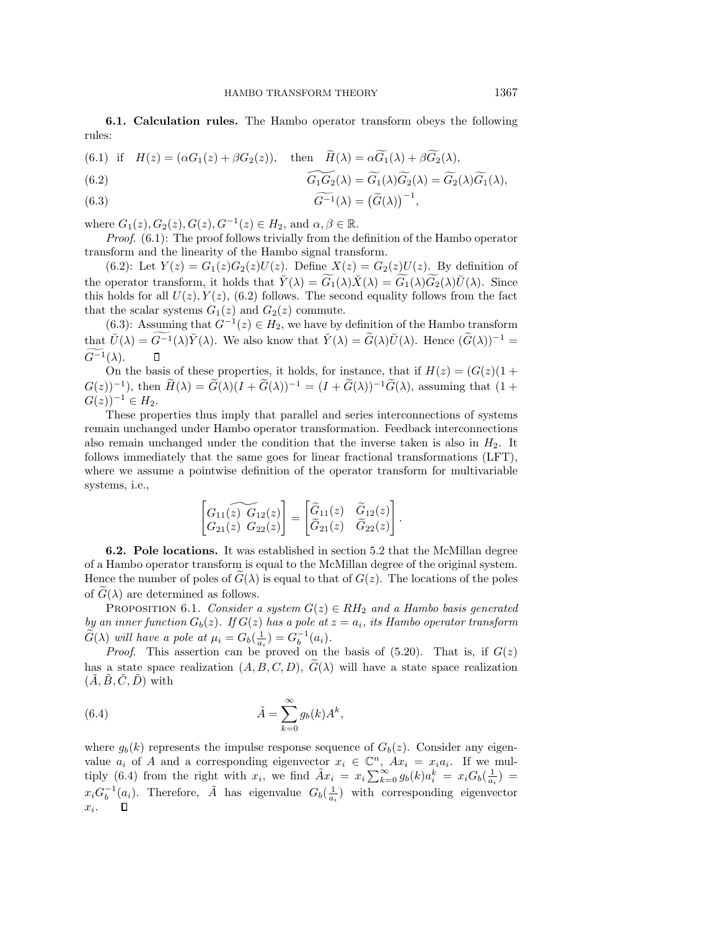г.<br>П

**6.1. Calculation rules.** The Hambo operator transform obeys the following rules: HAMBO TRANSFORM THEORY<br> **6.1. Calculation rules.** The Hambo operator trans<br>
rules:<br>
(6.1) if  $H(z) = (\alpha G_1(z) + \beta G_2(z))$ , then  $\widetilde{H}(\lambda) = \alpha \widehat{G}$ ensform obeys the foll

(6.1) if 
$$
H(z) = (\alpha G_1(z) + \beta G_2(z))
$$
, then  $\widetilde{H}(\lambda) = \alpha \widetilde{G}_1(\lambda) + \beta \widetilde{G}_2(\lambda)$ ,

rules:  
\n(6.1) if 
$$
H(z) = (\alpha G_1(z) + \beta G_2(z))
$$
, then  $\widetilde{H}(\lambda) = \alpha \widetilde{G}_1(\lambda) + \beta \widetilde{G}_2(\lambda)$ ,  
\n(6.2)  
\n $\widetilde{G}_1 \widetilde{G}_2(\lambda) = \widetilde{G}_1(\lambda) \widetilde{G}_2(\lambda) = \widetilde{G}_2(\lambda) \widetilde{G}_1(\lambda)$ ,  
\n $\widetilde{G}^{-1}(\lambda) = (\widetilde{G}(\lambda))^{-1}$ ,

(6.3) 
$$
\widetilde{G^{-1}}(\lambda) = (\widetilde{G}(\lambda))^{-1},
$$

where  $G_1(z)$ ,  $G_2(z)$ ,  $G(z)$ ,  $G^{-1}(z) \in H_2$ , and  $\alpha, \beta \in \mathbb{R}$ .

Proof.  $(6.1)$ : The proof follows trivially from the definition of the Hambo operator transform and the linearity of the Hambo signal transform.

(6.2): Let  $Y(z) = G_1(z)G_2(z)U(z)$ . Define  $X(z) = G_2(z)U(z)$ . By definition of the operator transform, it holds that  $\check{Y}(\lambda) = \widetilde{G_1}(\lambda)\check{X}(\lambda) = \widetilde{G_1}(\lambda)\widetilde{G_2}(\lambda)\check{U}(\lambda)$ . Since this holds for all  $U(z)$ ,  $Y(z)$ , (6.2) follows. The second equality follows from the fact that the scalar systems  $G_1(z)$  and  $G_2(z)$  commute. cansform, it holds that  $\check{Y}(\lambda) = \widetilde{G}_1(\lambda)\check{X}(\lambda) = \widetilde{G}_1(\lambda)\widetilde{G}_2(\lambda)\check{U}(\lambda)$ . Since<br>ull  $U(z), Y(z), (6.2)$  follows. The second equality follows from the fact<br>systems  $G_1(z)$  and  $G_2(z)$  commute.<br>uning that  $G^{-1}(z) \in H_2$ ,

(6.3): Assuming that  $G^{-1}(z) \in H_2$ , we have by definition of the Hambo transform that  $\breve{U}(\lambda) = \widehat{G}$  $G^{-1}(\lambda).$ (6.3): Assuming that  $G^{-1}(z) \in H_2$ , we have by definition of the Hambo transform<br>that  $\check{U}(\lambda) = \widetilde{G^{-1}}(\lambda)\check{Y}(\lambda)$ . We also know that  $\check{Y}(\lambda) = \widetilde{G}(\lambda)\check{U}(\lambda)$ . Hence  $(\widetilde{G}(\lambda))^{-1} =$ <br> $\widetilde{G^{-1}}(\lambda)$ .  $\square$ <br>On the basi

On the basis of these properties, it holds, for instance, that if  $H(z)=(G(z)(1 +$  $G(z))^{-1} \in H_2$ .

These properties thus imply that parallel and series interconnections of systems remain unchanged under Hambo operator transformation. Feedback interconnections also remain unchanged under the condition that the inverse taken is also in  $H_2$ . It also remain unchanged under the condition that the inverse taken is also in  $H_2$ . It<br>follows immediately that the same goes for linear fractional transformations (LFT),<br>where we assume a pointwise definition of the opera where we assume a pointwise definition of the operator transform for multivariable<br>systems, i.e.,<br> $\begin{bmatrix} G_{11}(z) G_{12}(z) \\ G_{21}(z) G_{22}(z) \end{bmatrix} = \begin{bmatrix} \tilde{G}_{11}(z) & \tilde{G}_{12}(z) \\ \tilde{G}_{21}(z) & \tilde{G}_{22}(z) \end{bmatrix}.$ systems, i.e.,

$$
\begin{bmatrix} G_{11}(\widetilde{z}) \ \widetilde{G}_{12}(z) \\ G_{21}(z) \ \widetilde{G}_{22}(z) \end{bmatrix} = \begin{bmatrix} \widetilde{G}_{11}(z) & \widetilde{G}_{12}(z) \\ \widetilde{G}_{21}(z) & \widetilde{G}_{22}(z) \end{bmatrix}.
$$

**6.2. Pole locations.** It was established in section 5.2 that the McMillan degree of a Hambo operator transform is equal to the McMillan degree of the original system.  $\begin{bmatrix} G_{11}(z) & G_{12}(z) \\ G_{21}(z) & G_{22}(z) \end{bmatrix} = \begin{bmatrix} G_{11}(z) & G_{12}(z) \\ \widetilde{G}_{21}(z) & \widetilde{G}_{22}(z) \end{bmatrix}.$ <br> **6.2. Pole locations.** It was established in section 5.2 that the McMillan degree of a Hambo operator transform is equal **6.2. Pole locations.** It was of a Hambo operator transform is  $\epsilon$ <br>Hence the number of poles of  $\widetilde{G}(\lambda)$  of  $\widetilde{G}(\lambda)$  are determined as follows.

PROPOSITION 6.1. Consider a system  $G(z) \in RH_2$  and a Hambo basis generated by an inner function  $G_b(z)$ . If  $G(z)$  has a pole at  $z = a_i$ , its Hambo operator transform Hence the number of poles of  $\widetilde{G}(\lambda)$  is equal to that<br>of  $\widetilde{G}(\lambda)$  are determined as follows.<br>PROPOSITION 6.1. Consider a system  $G(z)$ <br>by an inner function  $G_b(z)$ . If  $G(z)$  has a pole at  $\widetilde{G}(\lambda)$  will have a p PROPOSITION 6.1. Consider a system  $G(z) \in RH_2$  and a Hambo basis generated<br>by an inner function  $G_b(z)$ . If  $G(z)$  has a pole at  $z = a_i$ , its Hambo operator transform<br> $\widetilde{G}(\lambda)$  will have a pole at  $\mu_i = G_b(\frac{1}{a_i}) = G_b^{-1}(a_i)$ 

*Proof.* This assertion can be proved on the basis of  $(5.20)$ . That is, if  $G(z)$  $(A, B, C, D)$  with  $\overline{a_i}$  = G<br>
a proved<br>
B, C, D)<br>  $\tilde{A} = \sum_{i=1}^{\infty}$ 

(6.4) 
$$
\tilde{A} = \sum_{k=0}^{\infty} g_b(k) A^k,
$$

where  $g_b(k)$  represents the impulse response sequence of  $G_b(z)$ . Consider any eigenvalue  $a_i$  of A and a corresponding eigenvector  $x_i \in \mathbb{C}^n$ ,  $Ax_i = x_i a_i$ . If we multiply (6.4) from the right with  $x_i$ , we find  $\tilde{A}x_i = x_i \sum_{k=0}^{\infty} g_b(k) a_i^k = x_i G_b(\frac{1}{a_i}) =$  $x_i G_b^{-1}(\underline{a_i})$ . Therefore,  $\tilde{A}$  has eigenvalue  $G_b(\frac{1}{a_i})$  with corresponding eigenvector  $x_i$ .  $\Box$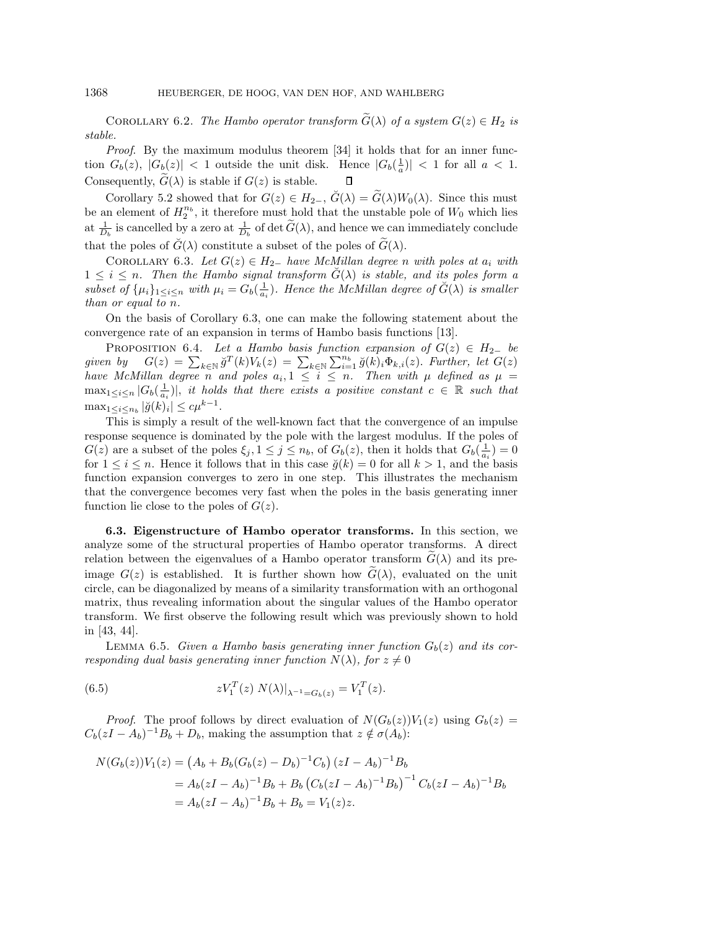COROLLARY 6.2. The Hambo operator transform  $\widetilde{G}(\lambda)$  of a system  $G(z) \in H_2$  is stable.

Proof. By the maximum modulus theorem [34] it holds that for an inner function  $G_b(z)$ ,  $|G_b(z)| < 1$  outside the unit disk. Hence  $|G_b(\frac{1}{a})| < 1$  for all  $a < 1$ . COROLLARY 6.2. The Hambo operator tr<br>stable.<br>*Proof.* By the maximum modulus theore<br>tion  $G_b(z)$ ,  $|G_b(z)| < 1$  outside the unit dis<br>Consequently,  $\widetilde{G}(\lambda)$  is stable if  $G(z)$  is stable. Consequently,  $\tilde{G}(\lambda)$  is stable if  $G(z)$  is stable.  $\square$ <br>Corollary 5.2 showed that for  $G(z) \in H_{2-}$ ,  $\tilde{G}(\lambda) = \tilde{G}(\lambda)W_0(\lambda)$ . Since this must

be an element of  $H_2^{n_b}$ , it therefore must hold that the unstable pole of  $W_0$  which lies tion  $G_b(z)$ ,  $|G_b(z)| < 1$  outside the unit disk. Hence  $|G_b(\frac{1}{a})| < 1$  for all  $a < 1$ .<br>Consequently,  $\widetilde{G}(\lambda)$  is stable if  $G(z)$  is stable.  $\square$ <br>Corollary 5.2 showed that for  $G(z) \in H_{2-}$ ,  $\check{G}(\lambda) = \widetilde{G}(\lambda)W_0(\lambda)$ . Consequently,  $G(\lambda)$  is stable if  $G(z)$  is stable.  $\square$ <br>Corollary 5.2 showed that for  $G(z) \in H_{2-}$ ,  $\check{G}(\lambda) = \widetilde{G}(\lambda)W$ <br>be an element of  $H_2^{n_b}$ , it therefore must hold that the unstable<br>at  $\frac{1}{D_b}$  is cancelled by

COROLLARY 6.3. Let  $G(z) \in H_{2-}$  have McMillan degree n with poles at  $a_i$  with  $1 \leq i \leq n$ . Then the Hambo signal transform  $G(\lambda)$  is stable, and its poles form a subset of  $\{\mu_i\}_{1\leq i\leq n}$  with  $\mu_i = G_b(\frac{1}{a_i})$ . Hence the McMillan degree of  $\breve{G}(\lambda)$  is smaller than or equal to n.

On the basis of Corollary 6.3, one can make the following statement about the convergence rate of an expansion in terms of Hambo basis functions [13].

PROPOSITION 6.4. Let a Hambo basis function expansion of  $G(z) \in H_{2-}$  be subset of  $\{\mu_i\}_{1 \leq i \leq n}$  with than or equal to n.<br>
On the basis of Convergence rate of an<br>
PROPOSITION 6.4.<br>
given by  $G(z) = \sum$ th  $\mu_i = G_b(\frac{1}{a_i})$ . Hence<br>
orollary 6.3, one can<br>
expansion in terms of<br>  $Let \ a \ Hambo \ basis:$ <br>  $k \in \mathbb{N} \check{g}^T(k) V_k(z) = \sum_{i=1}^{\infty}$  $\sum_{k\in\mathbb{N}}\sum_{i=1}^{n_b}\breve{g}(k)_i\Phi_{k,i}(z)$ . Further, let  $G(z)$ have McMillan degree n and poles  $a_i, 1 \leq i \leq n$ . Then with  $\mu$  defined as  $\mu =$  $\max_{1 \leq i \leq n} |G_b(\frac{1}{a_i})|$ , it holds that there exists a positive constant  $c \in \mathbb{R}$  such that  $\max_{1 \leq i \leq n_b} |\breve{g}(k)_i| \leq c \mu^{k-1}.$ 

This is simply a result of the well-known fact that the convergence of an impulse response sequence is dominated by the pole with the largest modulus. If the poles of  $G(z)$  are a subset of the poles  $\xi_j$ ,  $1 \leq j \leq n_b$ , of  $G_b(z)$ , then it holds that  $G_b(\frac{1}{a_i}) = 0$ for  $1 \leq i \leq n$ . Hence it follows that in this case  $\breve{g}(k) = 0$  for all  $k > 1$ , and the basis function expansion converges to zero in one step. This illustrates the mechanism that the convergence becomes very fast when the poles in the basis generating inner function lie close to the poles of  $G(z)$ .

**6.3. Eigenstructure of Hambo operator transforms.** In this section, we analyze some of the structural properties of Hambo operator transforms. A direct relation between the eigenvalues of a Hambo operator transform  $G(\lambda)$  and its preimage  $G(z)$  is established. It is further shown how  $\tilde{G}(\lambda)$ , evaluated on the unit circle, can be diagonalized by means of a similarity transformation with an orthogonal matrix, thus revealing information about the singular values of the Hambo operator transform. We first observe the following result which was previously shown to hold in [43, 44].

LEMMA 6.5. Given a Hambo basis generating inner function  $G_b(z)$  and its corresponding dual basis generating inner function  $N(\lambda)$ , for  $z \neq 0$ 

(6.5) 
$$
zV_1^T(z) N(\lambda)|_{\lambda^{-1}=G_b(z)} = V_1^T(z).
$$

*Proof.* The proof follows by direct evaluation of  $N(G_b(z))V_1(z)$  using  $G_b(z)$  =  $C_b(zI - A_b)^{-1}B_b + D_b$ , making the assumption that  $z \notin \sigma(A_b)$ : .3)<br>Proof. The proo $(zI - A_b)^{-1}B_b + I$ <br> $N(G_b(z))V_1(z) = ($ 

$$
N(G_b(z))V_1(z) = (A_b + B_b(G_b(z) - D_b)^{-1}C_b) (zI - A_b)^{-1}B_b
$$
  
=  $A_b(zI - A_b)^{-1}B_b + B_b(C_b(zI - A_b)^{-1}B_b)^{-1}C_b(zI - A_b)^{-1}B_b$   
=  $A_b(zI - A_b)^{-1}B_b + B_b = V_1(z)z$ .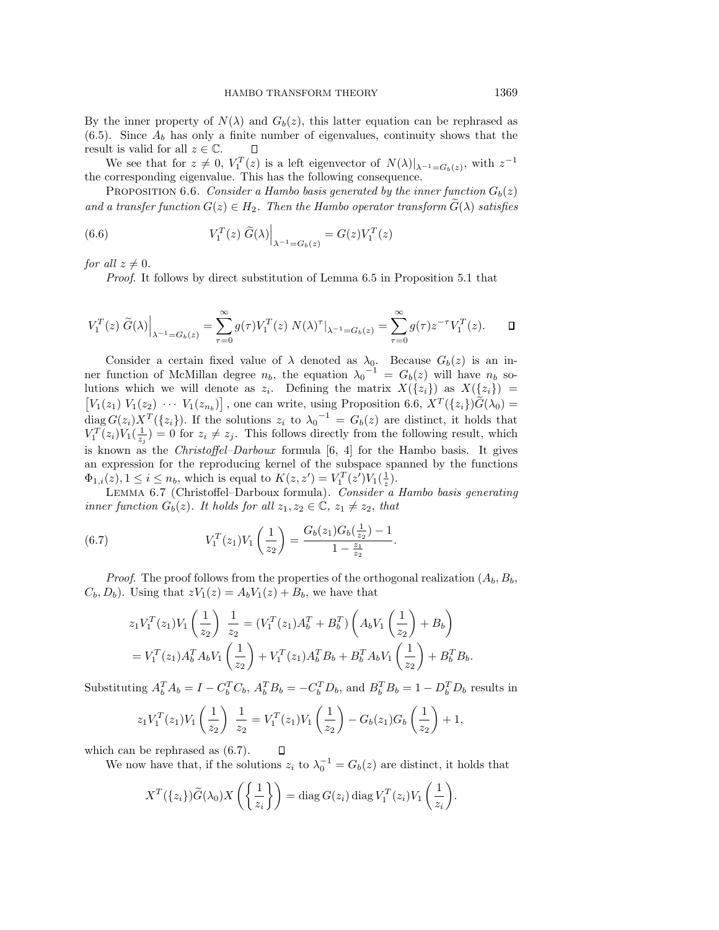By the inner property of  $N(\lambda)$  and  $G_b(z)$ , this latter equation can be rephrased as  $(6.5)$ . Since  $A_b$  has only a finite number of eigenvalues, continuity shows that the result is valid for all  $z \in \mathbb{C}$ .

We see that for  $z \neq 0$ ,  $V_1^T(z)$  is a left eigenvector of  $N(\lambda)|_{\lambda^{-1}=G_b(z)}$ , with  $z^{-1}$  $\overline{\phantom{a}}$ 

the corresponding eigenvalue. This has the following consequence.<br>
PROPOSITION 6.6. Consider a Hambo basis generated by the in<br>
and a transfer function  $G(z) \in H_2$ . Then the Hambo operator trans.<br>
(6.6)  $V_1^T(z) \tilde{G}(\lambda) \Big$ PROPOSITION 6.6. Consider a Hambo basis generated by the inner function  $G_b(z)$ and is valid for all  $z \in \mathbb{C}$ .<br>
The see that for  $z \neq 0$ ,  $V_1^T(z)$  is a left eigenvector of  $N(\lambda)|_{\lambda^{-1} = G_b(z)}$ , with  $z^{-1}$ <br>
the corresponding eigenvalue. This has the following consequence.<br>
PROPOSITION 6.6. Consider

(6.6) 
$$
V_1^T(z) \widetilde{G}(\lambda) \Big|_{\lambda^{-1} = G_b(z)} = G(z) V_1^T(z)
$$

Proof. It follows by direct substitution of Lemma 6.5 in Proposition 5.1 that

for all 
$$
z \neq 0
$$
.  
\n*Proof.* It follows by direct substitution of Lemma 6.5 in Proposition 5.1 that  
\n
$$
V_1^T(z) \tilde{G}(\lambda) \Big|_{\lambda^{-1} = G_b(z)} = \sum_{\tau=0}^{\infty} g(\tau) V_1^T(z) N(\lambda)^\tau |_{\lambda^{-1} = G_b(z)} = \sum_{\tau=0}^{\infty} g(\tau) z^{-\tau} V_1^T(z).
$$

Consider a certain fixed value of  $\lambda$  denoted as  $\lambda_0$ . Because  $G_b(z)$  is an inner function of McMillan degree  $n_b$ , the equation  $\lambda_0^{-1} = G_b(z)$  will have  $n_b$  solutions which we will denote as  $z_i$ . Defining the matrix  $X({z_i})$  as  $X({z_i})$  =  $[V_1(z_1) V_1(z_2) \cdots V_1(z_{n_b})]$ <sup>7=0</sup><br>
d value of  $\lambda$  denoted as  $\lambda_0$ . Because  $G_b(z)$  is an in-<br>
legree  $n_b$ , the equation  $\lambda_0^{-1} = G_b(z)$  will have  $n_b$  so-<br>
ote as  $z_i$ . Defining the matrix  $X({z_i})$  as  $X({z_i}) =$ <br>
, one can write, using Proposition 6.6 diag  $G(z_i)X^T({z_i})$ . If the solutions  $z_i$  to  $\lambda_0^{-1} = G_b(z)$  are distinct, it holds that  $V_1^T(z_i)V_1(\frac{1}{z_j})=0$  for  $z_i\neq z_j$ . This follows directly from the following result, which is known as the *Christoffel–Darboux* formula  $[6, 4]$  for the Hambo basis. It gives an expression for the reproducing kernel of the subspace spanned by the functions  $\Phi_{1,i}(z), 1 \leq i \leq n_b$ , which is equal to  $K(z, z') = V_1^T(z')V_1(\frac{1}{z})$ .

LEMMA  $6.7$  (Christoffel–Darboux formula). Consider a Hambo basis generating inner function  $G_b(z)$ . It holds for all  $z_1, z_2 \in \mathbb{C}$ ,  $z_1 \neq z_2$ , that

(6.7) 
$$
V_1^T(z_1)V_1\left(\frac{1}{z_2}\right) = \frac{G_b(z_1)G_b(\frac{1}{z_2})-1}{1-\frac{z_1}{z_2}}.
$$

*Proof.* The proof follows from the properties of the orthogonal realization  $(A_b, B_b, A_c)$  $C_b, D_b$ . Using that  $zV_1(z) = A_bV_1(z) + B_b$ , we have that

$$
z_1 V_1^T(z_1) V_1\left(\frac{1}{z_2}\right) \frac{1}{z_2} = (V_1^T(z_1) A_b^T + B_b^T) \left(A_b V_1\left(\frac{1}{z_2}\right) + B_b\right)
$$
  
=  $V_1^T(z_1) A_b^T A_b V_1\left(\frac{1}{z_2}\right) + V_1^T(z_1) A_b^T B_b + B_b^T A_b V_1\left(\frac{1}{z_2}\right) + B_b^T B_b.$ 

Substituting  $A_b^T A_b = I - C_b^T C_b$ ,  $A_b^T B_b = -C_b^T D_b$ , and  $B_b^T B_b = 1 - D_b^T D_b$  results in

$$
z_1 V_1^T(z_1) V_1\left(\frac{1}{z_2}\right) \frac{1}{z_2} = V_1^T(z_1) V_1\left(\frac{1}{z_2}\right) - G_b(z_1) G_b\left(\frac{1}{z_2}\right) + 1,
$$
  
the rephrased as (6.7). 
$$
\Box
$$
  
ow have that, if the solutions  $z_i$  to  $\lambda_0^{-1} = G_b(z)$  are distinct, it h  

$$
X^T(\lbrace z_i \rbrace)\widetilde{G}(\lambda_0)X\left(\lbrace \frac{1}{z_i} \rbrace\right) = \text{diag } G(z_i) \text{ diag } V_1^T(z_i) V_1\left(\frac{1}{z_i}\right).
$$

which can be rephrased as (6.7).

We now have that, if the solutions  $z_i$  to  $\lambda_0^{-1} = G_b(z)$  are distinct, it holds that

$$
X^{T}(\lbrace z_{i}\rbrace)\widetilde{G}(\lambda_{0})X\left(\lbrace \frac{1}{z_{i}} \rbrace\right)=\text{diag }G(z_{i})\text{ diag }V_{1}^{T}(z_{i})V_{1}\left(\frac{1}{z_{i}}\right).
$$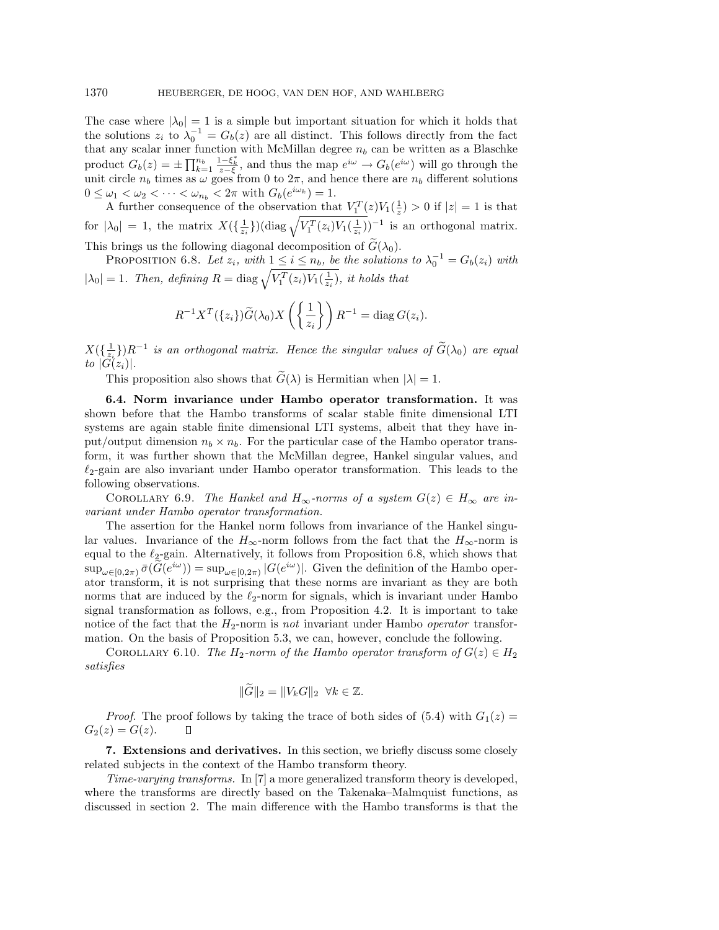The case where  $|\lambda_0| = 1$  is a simple but important situation for which it holds that the solutions  $z_i$  to  $\lambda_0^{-1} = G_b(z)$  are all distinct. This follows directly from the fact that any scalar inner function with McMillan degree  $n_b$  can be written as a Blaschke I370 HEUBERGER, DE HOOG, VAN DEN HOF, AND WAHLBERG<br>The case where  $|\lambda_0| = 1$  is a simple but important situation for which it holds that<br>the solutions  $z_i$  to  $\lambda_0^{-1} = G_b(z)$  are all distinct. This follows directly from  $0 \leq \omega_1 < \omega_2 < \cdots < \omega_{n_b} < 2\pi$  with  $G_b(e^{i\omega_k}) = 1$ .  $\begin{array}{c} \text{with~MCM11}\ \text{and~thus~t}\ \text{in~0~to~2\pi}\ \text{ith~}G_b(e^{i\omega})\ \text{e~observat}\ \text{)}(\text{diag~}\sqrt{2})\ \end{array}$ 

A further consequence of the observation that  $V_1^T(z)V_1(\frac{1}{z}) > 0$  if  $|z| = 1$  is that for  $|\lambda_0| = 1$ , the matrix  $X(\{\frac{1}{z_i}\})$  (diag  $\sqrt{V_1^T(z_i)V_1(\frac{1}{z_i})}$ )<sup>-1</sup> is an orthogonal matrix. unit circle  $n_b$  times as  $\omega$  goes from 0 to  $2\pi$ , and nence there are  $0 \leq \omega_1 < \omega_2 < \cdots < \omega_{n_b} < 2\pi$  with  $G_b(e^{i\omega_k}) = 1$ .<br>A further consequence of the observation that  $V_1^T(z)V_1(\frac{1}{z})$  for  $|\lambda_0| = 1$ , the matrix  $X(\$ A further consequence of the ob-<br>for  $|\lambda_0| = 1$ , the matrix  $X(\{\frac{1}{z_i}\})$ (d<br>This brings us the following diagona<br>PROPOSITION 6.8. Let  $z_i$ , with  $|\lambda_0| = 1$ . Then, defining  $R = \text{diag } \sqrt{\frac{1}{n}}$ This brings us the following diagonal decomposition of  $\tilde{G}(\lambda_0)$ .

brings us the following diagonal decomposition of  $\widetilde{G}(\lambda_0)$ .<br>
PROPOSITION 6.8. Let  $z_i$ , with  $1 \le i \le n_b$ , be the solutions to  $\lambda_0^{-1} = G_b(z_i)$  with<br>  $= 1$ . Then, defining  $R = \text{diag } \sqrt{V_1^T(z_i)V_1(\frac{1}{z_i})}$ , it holds that  $V_1^T(z_i)V_1(\frac{1}{z_i})$ , it holds that

$$
R^{-1}X^{T}(\lbrace z_{i} \rbrace)\widetilde{G}(\lambda_{0})X\left(\left\{\frac{1}{z_{i}}\right\}\right)R^{-1} = \text{diag }G(z_{i}).
$$
  

$$
X(\lbrace \frac{1}{z_{i}} \rbrace)R^{-1} \text{ is an orthogonal matrix. Hence the singular values of } \widetilde{G}(\lambda_{0}) \text{ are equal}
$$

to  $|\tilde{G}(z_i)|$ .  $R^{-1}X^T(\lbrace z_i \rbrace)G(\lambda_0)X \Big(\lbrace \frac{1}{z_i} \rbrace)R^{-1} = \text{diag } G(z_i).$ <br>  $\frac{1}{z_i} \rbrace)R^{-1}$  is an orthogonal matrix. Hence the singular values of  $\widetilde{G}(z_i)|$ .<br>
This proposition also shows that  $\widetilde{G}(\lambda)$  is Hermitian when  $|\lambda| = 1$ .

**6.4. Norm invariance under Hambo operator transformation.** It was shown before that the Hambo transforms of scalar stable finite dimensional LTI systems are again stable finite dimensional LTI systems, albeit that they have input/output dimension  $n_b \times n_b$ . For the particular case of the Hambo operator transform, it was further shown that the McMillan degree, Hankel singular values, and  $\ell_2$ -gain are also invariant under Hambo operator transformation. This leads to the following observations.

COROLLARY 6.9. The Hankel and  $H_{\infty}$ -norms of a system  $G(z) \in H_{\infty}$  are invariant under Hambo operator transformation.

The assertion for the Hankel norm follows from invariance of the Hankel singular values. Invariance of the  $H_{\infty}$ -norm follows from the fact that the  $H_{\infty}$ -norm is equal to the  $\ell_2$ -gain. Alternatively, it follows from Proposition 6.8, which shows that variant under Hambo operator transformation.<br>The assertion for the Hankel norm follows from invariance of the Hankel singu-<br>lar values. Invariance of the  $H_{\infty}$ -norm follows from the fact that the  $H_{\infty}$ -norm is<br>equal norms that are induced by the  $\ell_2$ -norm for signals, which is invariant under Hambo signal transformation as follows, e.g., from Proposition 4.2. It is important to take notice of the fact that the  $H_2$ -norm is not invariant under Hambo *operator* transformation. On the basis of Proposition 5.3, we can, however, conclude the following.

COROLLARY 6.10. The  $H_2$ -norm of the Hambo operator transform of  $G(z) \in H_2$ satisfies From is not invariant uniform.<br>Solition 5.3, we can, howe<br> $\mathcal{E}_2$ -norm of the Hambo op<br> $\|\widetilde{G}\|_2 = \|V_k G\|_2 \ \ \forall k \in \mathbb{Z}.$ 

$$
\|\widetilde{G}\|_2 = \|V_k G\|_2 \ \ \forall k \in \mathbb{Z}.
$$

*Proof.* The proof follows by taking the trace of both sides of (5.4) with  $G_1(z)$  =  $G_2(z) = G(z)$ .  $\Box$ 

**7. Extensions and derivatives.** In this section, we briefly discuss some closely related subjects in the context of the Hambo transform theory.

Time-varying transforms. In [7] a more generalized transform theory is developed, where the transforms are directly based on the Takenaka–Malmquist functions, as discussed in section 2. The main difference with the Hambo transforms is that the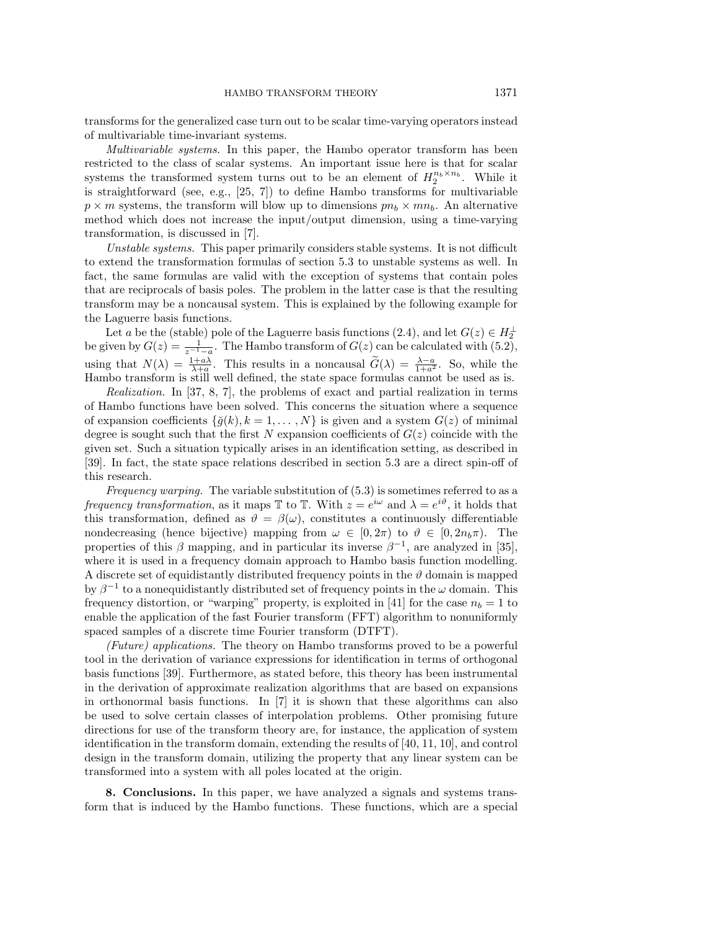transforms for the generalized case turn out to be scalar time-varying operators instead of multivariable time-invariant systems.

Multivariable systems. In this paper, the Hambo operator transform has been restricted to the class of scalar systems. An important issue here is that for scalar systems the transformed system turns out to be an element of  $H_2^{n_b \times n_b}$ . While it is straightforward (see, e.g.,  $[25, 7]$ ) to define Hambo transforms for multivariable  $p \times m$  systems, the transform will blow up to dimensions  $p n_b \times m n_b$ . An alternative method which does not increase the input/output dimension, using a time-varying transformation, is discussed in [7].

Unstable systems. This paper primarily considers stable systems. It is not difficult to extend the transformation formulas of section 5.3 to unstable systems as well. In fact, the same formulas are valid with the exception of systems that contain poles that are reciprocals of basis poles. The problem in the latter case is that the resulting transform may be a noncausal system. This is explained by the following example for the Laguerre basis functions.

Let a be the (stable) pole of the Laguerre basis functions (2.4), and let  $G(z) \in H_2^{\perp}$ be given by  $G(z) = \frac{1}{z^{-1}-a}$ . The Hambo transform of  $G(z)$  can be calculated with (5.2), transform may be a noncausal system. This is explained by the following example for<br>the Laguerre basis functions.<br>Let *a* be the (stable) pole of the Laguerre basis functions (2.4), and let  $G(z) \in H_2^{\perp}$ <br>be given by  $G(z$ Hambo transform is still well defined, the state space formulas cannot be used as is.

Realization. In [37, 8, 7], the problems of exact and partial realization in terms of Hambo functions have been solved. This concerns the situation where a sequence of expansion coefficients  $\{\breve{g}(k), k = 1, \ldots, N\}$  is given and a system  $G(z)$  of minimal degree is sought such that the first N expansion coefficients of  $G(z)$  coincide with the given set. Such a situation typically arises in an identification setting, as described in [39]. In fact, the state space relations described in section 5.3 are a direct spin-off of this research.

Frequency warping. The variable substitution of  $(5.3)$  is sometimes referred to as a frequency transformation, as it maps  $\mathbb T$  to  $\mathbb T$ . With  $z = e^{i\omega}$  and  $\lambda = e^{i\vartheta}$ , it holds that this transformation, defined as  $\vartheta = \beta(\omega)$ , constitutes a continuously differentiable nondecreasing (hence bijective) mapping from  $\omega \in [0, 2\pi)$  to  $\vartheta \in [0, 2n_b\pi)$ . The properties of this  $\beta$  mapping, and in particular its inverse  $\beta^{-1}$ , are analyzed in [35], where it is used in a frequency domain approach to Hambo basis function modelling. A discrete set of equidistantly distributed frequency points in the  $\vartheta$  domain is mapped by  $\beta^{-1}$  to a nonequidistantly distributed set of frequency points in the  $\omega$  domain. This frequency distortion, or "warping" property, is exploited in [41] for the case  $n_b = 1$  to enable the application of the fast Fourier transform (FFT) algorithm to nonuniformly spaced samples of a discrete time Fourier transform (DTFT).

(Future) applications. The theory on Hambo transforms proved to be a powerful tool in the derivation of variance expressions for identification in terms of orthogonal basis functions [39]. Furthermore, as stated before, this theory has been instrumental in the derivation of approximate realization algorithms that are based on expansions in orthonormal basis functions. In [7] it is shown that these algorithms can also be used to solve certain classes of interpolation problems. Other promising future directions for use of the transform theory are, for instance, the application of system identification in the transform domain, extending the results of [40, 11, 10], and control design in the transform domain, utilizing the property that any linear system can be transformed into a system with all poles located at the origin.

**8. Conclusions.** In this paper, we have analyzed a signals and systems transform that is induced by the Hambo functions. These functions, which are a special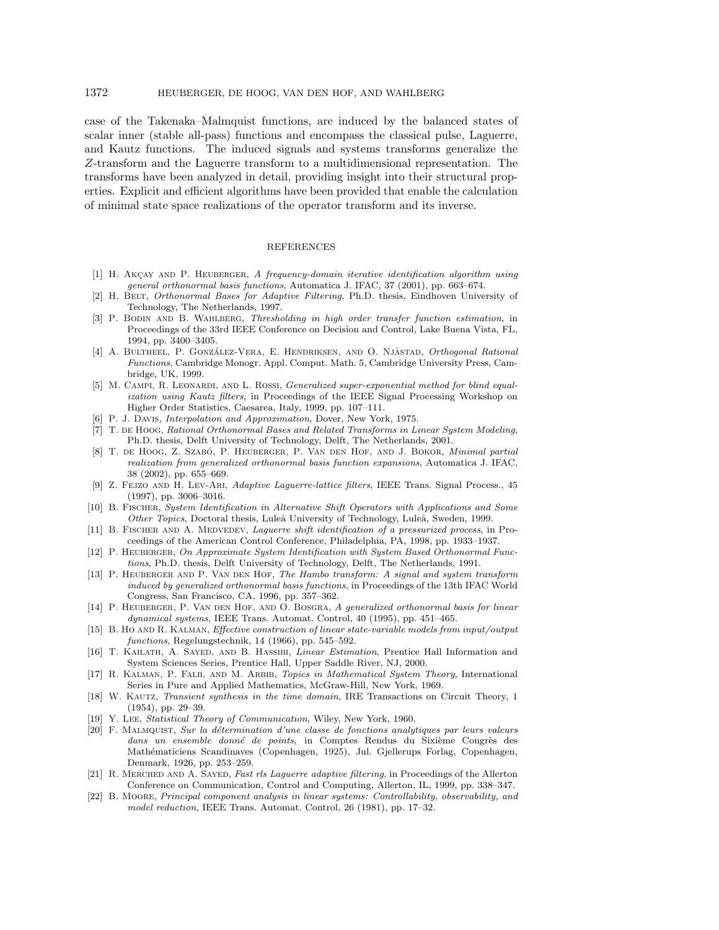case of the Takenaka–Malmquist functions, are induced by the balanced states of scalar inner (stable all-pass) functions and encompass the classical pulse, Laguerre, and Kautz functions. The induced signals and systems transforms generalize the Z-transform and the Laguerre transform to a multidimensional representation. The transforms have been analyzed in detail, providing insight into their structural properties. Explicit and efficient algorithms have been provided that enable the calculation of minimal state space realizations of the operator transform and its inverse.

## REFERENCES

- [1] H. AKÇAY AND P. HEUBERGER, A frequency-domain iterative identification algorithm using general orthonormal basis functions, Automatica J. IFAC, 37 (2001), pp. 663–674.
- [2] H. Belt, Orthonormal Bases for Adaptive Filtering, Ph.D. thesis, Eindhoven University of Technology, The Netherlands, 1997.
- [3] P. BODIN AND B. WAHLBERG, Thresholding in high order transfer function estimation, in Proceedings of the 33rd IEEE Conference on Decision and Control, Lake Buena Vista, FL, 1994, pp. 3400–3405.
- [4] A. BULTHEEL, P. GONZÁLEZ-VERA, E. HENDRIKSEN, AND O. NJÅSTAD, Orthogonal Rational Functions, Cambridge Monogr. Appl. Comput. Math. 5, Cambridge University Press, Cambridge, UK, 1999.
- [5] M. CAMPI, R. LEONARDI, AND L. ROSSI, *Generalized super-exponential method for blind equal*ization using Kautz filters, in Proceedings of the IEEE Signal Processing Workshop on Higher Order Statistics, Caesarea, Italy, 1999, pp. 107–111.
- [6] P. J. Davis, Interpolation and Approximation, Dover, New York, 1975.
- [7] T. de Hoog, Rational Orthonormal Bases and Related Transforms in Linear System Modeling, Ph.D. thesis, Delft University of Technology, Delft, The Netherlands, 2001.
- [8] T. DE HOOG, Z. SZABÓ, P. HEUBERGER, P. VAN DEN HOF, AND J. BOKOR, Minimal partial realization from generalized orthonormal basis function expansions, Automatica J. IFAC, 38 (2002), pp. 655–669.
- [9] Z. FEJZO AND H. LEV-ARI, Adaptive Laguerre-lattice filters, IEEE Trans. Signal Process., 45 (1997), pp. 3006–3016.
- [10] B. Fischer, System Identification in Alternative Shift Operators with Applications and Some Other Topics, Doctoral thesis, Luleå University of Technology, Luleå, Sweden, 1999.
- [11] B. FISCHER AND A. MEDVEDEV, Laguerre shift identification of a pressurized process, in Proceedings of the American Control Conference, Philadelphia, PA, 1998, pp. 1933–1937.
- [12] P. Heuberger, On Approximate System Identification with System Based Orthonormal Functions, Ph.D. thesis, Delft University of Technology, Delft, The Netherlands, 1991.
- [13] P. HEUBERGER AND P. VAN DEN HOF, The Hambo transform: A signal and system transform induced by generalized orthonormal basis functions, in Proceedings of the 13th IFAC World Congress, San Francisco, CA, 1996, pp. 357–362.
- [14] P. HEUBERGER, P. VAN DEN HOF, AND O. BOSGRA, A generalized orthonormal basis for linear dynamical systems, IEEE Trans. Automat. Control, 40 (1995), pp. 451–465.
- [15] B. Ho and R. Kalman, Effective construction of linear state-variable models from input/output functions, Regelungstechnik, 14 (1966), pp. 545–592.
- [16] T. KAILATH, A. SAYED, AND B. HASSIBI, *Linear Estimation*, Prentice Hall Information and System Sciences Series, Prentice Hall, Upper Saddle River, NJ, 2000.
- [17] R. KALMAN, P. FALB, AND M. ARBIB, Topics in Mathematical System Theory, International Series in Pure and Applied Mathematics, McGraw-Hill, New York, 1969.
- [18] W. Kautz, Transient synthesis in the time domain, IRE Transactions on Circuit Theory, 1 (1954), pp. 29–39.
- [19] Y. LEE, Statistical Theory of Communication, Wiley, New York, 1960.
- [20] F. Malmquist, Sur la d´etermination d'une classe de fonctions analytiques par leurs valeurs dans un ensemble donné de points, in Comptes Rendus du Sixième Congrès des Mathématiciens Scandinaves (Copenhagen, 1925), Jul. Gjellerups Forlag, Copenhagen, Denmark, 1926, pp. 253–259.
- [21] R. MERCHED AND A. SAYED, Fast rls Laguerre adaptive filtering, in Proceedings of the Allerton Conference on Communication, Control and Computing, Allerton, IL, 1999, pp. 338–347.
- [22] B. Moore, Principal component analysis in linear systems: Controllability, observability, and model reduction, IEEE Trans. Automat. Control, 26 (1981), pp. 17–32.